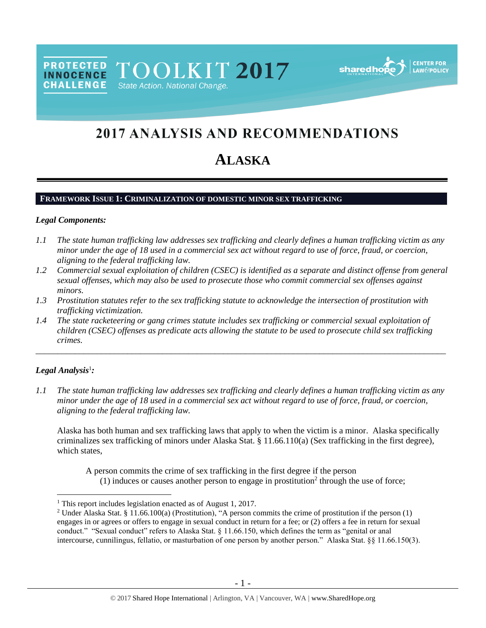PROTECTED TOOLKIT 2017 **CHALLENGE** State Action. National Change.



# 2017 ANALYSIS AND RECOMMENDATIONS

# **ALASKA**

## **FRAMEWORK ISSUE 1: CRIMINALIZATION OF DOMESTIC MINOR SEX TRAFFICKING**

#### *Legal Components:*

- *1.1 The state human trafficking law addresses sex trafficking and clearly defines a human trafficking victim as any minor under the age of 18 used in a commercial sex act without regard to use of force, fraud, or coercion, aligning to the federal trafficking law.*
- *1.2 Commercial sexual exploitation of children (CSEC) is identified as a separate and distinct offense from general sexual offenses, which may also be used to prosecute those who commit commercial sex offenses against minors.*
- *1.3 Prostitution statutes refer to the sex trafficking statute to acknowledge the intersection of prostitution with trafficking victimization.*
- *1.4 The state racketeering or gang crimes statute includes sex trafficking or commercial sexual exploitation of children (CSEC) offenses as predicate acts allowing the statute to be used to prosecute child sex trafficking crimes.*

## *Legal Analysis*<sup>1</sup> *:*

 $\overline{a}$ 

*1.1 The state human trafficking law addresses sex trafficking and clearly defines a human trafficking victim as any minor under the age of 18 used in a commercial sex act without regard to use of force, fraud, or coercion, aligning to the federal trafficking law.*

\_\_\_\_\_\_\_\_\_\_\_\_\_\_\_\_\_\_\_\_\_\_\_\_\_\_\_\_\_\_\_\_\_\_\_\_\_\_\_\_\_\_\_\_\_\_\_\_\_\_\_\_\_\_\_\_\_\_\_\_\_\_\_\_\_\_\_\_\_\_\_\_\_\_\_\_\_\_\_\_\_\_\_\_\_\_\_\_\_\_\_\_\_\_

Alaska has both human and sex trafficking laws that apply to when the victim is a minor. Alaska specifically criminalizes sex trafficking of minors under Alaska Stat. § 11.66.110(a) (Sex trafficking in the first degree), which states.

<span id="page-0-0"></span>A person commits the crime of sex trafficking in the first degree if the person (1) induces or causes another person to engage in prostitution<sup>2</sup> through the use of force;

<sup>&</sup>lt;sup>1</sup> This report includes legislation enacted as of August 1, 2017.

<sup>&</sup>lt;sup>2</sup> Under Alaska Stat. § 11.66.100(a) (Prostitution), "A person commits the crime of prostitution if the person (1) engages in or agrees or offers to engage in sexual conduct in return for a fee; or (2) offers a fee in return for sexual conduct." "Sexual conduct" refers to Alaska Stat. § 11.66.150, which defines the term as "genital or anal intercourse, cunnilingus, fellatio, or masturbation of one person by another person." Alaska Stat. §§ 11.66.150(3).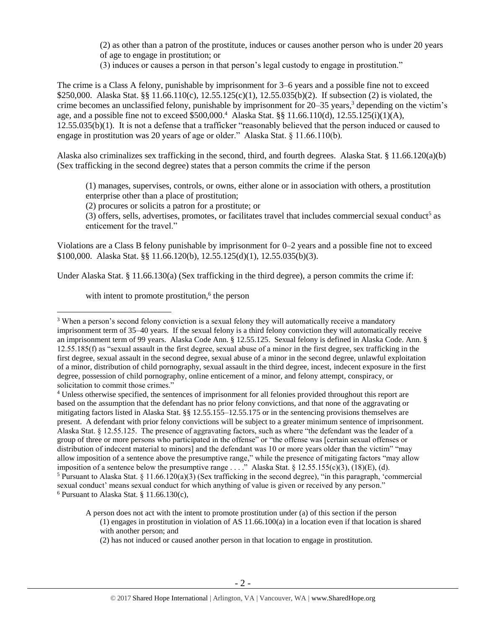(2) as other than a patron of the prostitute, induces or causes another person who is under 20 years of age to engage in prostitution; or

<span id="page-1-0"></span>(3) induces or causes a person in that person's legal custody to engage in prostitution."

The crime is a Class A felony, punishable by imprisonment for 3–6 years and a possible fine not to exceed \$250,000. Alaska Stat. §§ 11.66.110(c), 12.55.125(c)(1), 12.55.035(b)(2). If subsection (2) is violated, the crime becomes an unclassified felony, punishable by imprisonment for 20–35 years,<sup>3</sup> depending on the victim's age, and a possible fine not to exceed \$500,000.<sup>4</sup> Alaska Stat. §§ 11.66.110(d), 12.55.125(i)(1)(A), 12.55.035(b)(1). It is not a defense that a trafficker "reasonably believed that the person induced or caused to engage in prostitution was 20 years of age or older." Alaska Stat. § 11.66.110(b).

Alaska also criminalizes sex trafficking in the second, third, and fourth degrees. Alaska Stat. § 11.66.120(a)(b) (Sex trafficking in the second degree) states that a person commits the crime if the person

(1) manages, supervises, controls, or owns, either alone or in association with others, a prostitution enterprise other than a place of prostitution;

(2) procures or solicits a patron for a prostitute; or

(3) offers, sells, advertises, promotes, or facilitates travel that includes commercial sexual conduct<sup>5</sup> as enticement for the travel."

Violations are a Class B felony punishable by imprisonment for 0–2 years and a possible fine not to exceed \$100,000. Alaska Stat. §§ 11.66.120(b), 12.55.125(d)(1), 12.55.035(b)(3).

Under Alaska Stat. § 11.66.130(a) (Sex trafficking in the third degree), a person commits the crime if:

with intent to promote prostitution,<sup>6</sup> the person

 $6$  Pursuant to Alaska Stat. § 11.66.130(c),

<sup>&</sup>lt;sup>3</sup> When a person's second felony conviction is a sexual felony they will automatically receive a mandatory imprisonment term of 35–40 years. If the sexual felony is a third felony conviction they will automatically receive an imprisonment term of 99 years. Alaska Code Ann. § 12.55.125. Sexual felony is defined in Alaska Code. Ann. §  $12.55.185(f)$  as "sexual assault in the first degree, sexual abuse of a minor in the first degree, sex trafficking in the first degree, sexual assault in the second degree, sexual abuse of a minor in the second degree, unlawful exploitation of a minor, distribution of child pornography, sexual assault in the third degree, incest, indecent exposure in the first degree, possession of child pornography, online enticement of a minor, and felony attempt, conspiracy, or solicitation to commit those crimes."

<sup>4</sup> Unless otherwise specified, the sentences of imprisonment for all felonies provided throughout this report are based on the assumption that the defendant has no prior felony convictions, and that none of the aggravating or mitigating factors listed in Alaska Stat. §§ 12.55.155–12.55.175 or in the sentencing provisions themselves are present. A defendant with prior felony convictions will be subject to a greater minimum sentence of imprisonment. Alaska Stat. § 12.55.125. The presence of aggravating factors, such as where "the defendant was the leader of a group of three or more persons who participated in the offense" or "the offense was [certain sexual offenses or distribution of indecent material to minors] and the defendant was 10 or more years older than the victim" "may allow imposition of a sentence above the presumptive range," while the presence of mitigating factors "may allow imposition of a sentence below the presumptive range . . . ." Alaska Stat. § 12.55.155(c)(3), (18)(E), (d). <sup>5</sup> Pursuant to Alaska Stat.  $\S 11.66.120(a)(3)$  (Sex trafficking in the second degree), "in this paragraph, 'commercial sexual conduct' means sexual conduct for which anything of value is given or received by any person."

A person does not act with the intent to promote prostitution under (a) of this section if the person  $(1)$  engages in prostitution in violation of AS  $11.66.100(a)$  in a location even if that location is shared with another person; and

<sup>(2)</sup> has not induced or caused another person in that location to engage in prostitution.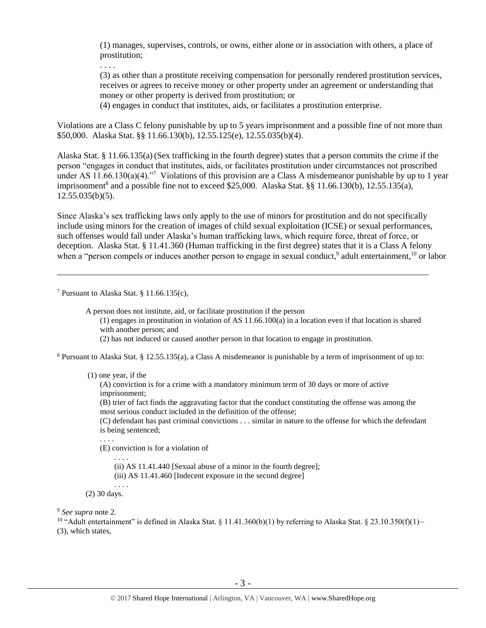(1) manages, supervises, controls, or owns, either alone or in association with others, a place of prostitution;

. . . .

(3) as other than a prostitute receiving compensation for personally rendered prostitution services, receives or agrees to receive money or other property under an agreement or understanding that money or other property is derived from prostitution; or

(4) engages in conduct that institutes, aids, or facilitates a prostitution enterprise.

Violations are a Class C felony punishable by up to 5 years imprisonment and a possible fine of not more than \$50,000. Alaska Stat. §§ 11.66.130(b), 12.55.125(e), 12.55.035(b)(4).

<span id="page-2-0"></span>Alaska Stat. § 11.66.135(a)(Sex trafficking in the fourth degree) states that a person commits the crime if the person "engages in conduct that institutes, aids, or facilitates prostitution under circumstances not proscribed under AS 11.66.130(a)(4)."<sup>7</sup> Violations of this provision are a Class A misdemeanor punishable by up to 1 year imprisonment<sup>8</sup> and a possible fine not to exceed \$25,000. Alaska Stat.  $\S$ § 11.66.130(b), 12.55.135(a),  $12.55.035(b)(5)$ .

Since Alaska's sex trafficking laws only apply to the use of minors for prostitution and do not specifically include using minors for the creation of images of child sexual exploitation (ICSE) or sexual performances, such offenses would fall under Alaska's human trafficking laws, which require force, threat of force, or deception. Alaska Stat. § 11.41.360 (Human trafficking in the first degree) states that it is a Class A felony when a "person compels or induces another person to engage in sexual conduct,<sup>9</sup> adult entertainment,<sup>10</sup> or labor

<sup>7</sup> Pursuant to Alaska Stat. § 11.66.135(c),

 $\overline{a}$ 

A person does not institute, aid, or facilitate prostitution if the person

(1) engages in prostitution in violation of AS 11.66.100(a) in a location even if that location is shared with another person; and

(2) has not induced or caused another person in that location to engage in prostitution.

<sup>8</sup> Pursuant to Alaska Stat. § 12.55.135(a), a Class A misdemeanor is punishable by a term of imprisonment of up to:

(1) one year, if the

(A) conviction is for a crime with a mandatory minimum term of 30 days or more of active imprisonment;

(B) trier of fact finds the aggravating factor that the conduct constituting the offense was among the most serious conduct included in the definition of the offense;

(C) defendant has past criminal convictions . . . similar in nature to the offense for which the defendant is being sentenced;

. . . .

(E) conviction is for a violation of

. . . .

(ii) AS 11.41.440 [Sexual abuse of a minor in the fourth degree];

(iii) AS 11.41.460 [Indecent exposure in the second degree]

. . . . (2) 30 days.

<sup>9</sup> *See supra* note [2.](#page-0-0)

<sup>10</sup> "Adult entertainment" is defined in Alaska Stat. § 11.41.360(b)(1) by referring to Alaska Stat. § 23.10.350(f)(1)-(3), which states,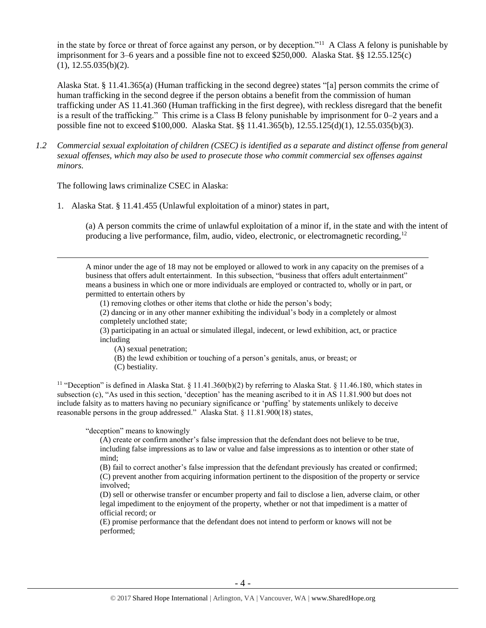in the state by force or threat of force against any person, or by deception."<sup>11</sup> A Class A felony is punishable by imprisonment for 3–6 years and a possible fine not to exceed \$250,000. Alaska Stat. §§ 12.55.125(c) (1), 12.55.035(b)(2).

Alaska Stat. § 11.41.365(a) (Human trafficking in the second degree) states "[a] person commits the crime of human trafficking in the second degree if the person obtains a benefit from the commission of human trafficking under AS 11.41.360 (Human trafficking in the first degree), with reckless disregard that the benefit is a result of the trafficking." This crime is a Class B felony punishable by imprisonment for 0–2 years and a possible fine not to exceed \$100,000. Alaska Stat. §§ 11.41.365(b), 12.55.125(d)(1), 12.55.035(b)(3).

*1.2 Commercial sexual exploitation of children (CSEC) is identified as a separate and distinct offense from general sexual offenses, which may also be used to prosecute those who commit commercial sex offenses against minors.*

The following laws criminalize CSEC in Alaska:

 $\overline{a}$ 

1. Alaska Stat. § 11.41.455 (Unlawful exploitation of a minor) states in part,

(a) A person commits the crime of unlawful exploitation of a minor if, in the state and with the intent of producing a live performance, film, audio, video, electronic, or electromagnetic recording,<sup>12</sup>

A minor under the age of 18 may not be employed or allowed to work in any capacity on the premises of a business that offers adult entertainment. In this subsection, "business that offers adult entertainment" means a business in which one or more individuals are employed or contracted to, wholly or in part, or permitted to entertain others by

(1) removing clothes or other items that clothe or hide the person's body;

(2) dancing or in any other manner exhibiting the individual's body in a completely or almost completely unclothed state;

(3) participating in an actual or simulated illegal, indecent, or lewd exhibition, act, or practice including

(A) sexual penetration;

- (B) the lewd exhibition or touching of a person's genitals, anus, or breast; or
- (C) bestiality.

<sup>11</sup> "Deception" is defined in Alaska Stat. § 11.41.360(b)(2) by referring to Alaska Stat. § 11.46.180, which states in subsection (c), "As used in this section, 'deception' has the meaning ascribed to it in AS 11.81.900 but does not include falsity as to matters having no pecuniary significance or 'puffing' by statements unlikely to deceive reasonable persons in the group addressed." Alaska Stat. § 11.81.900(18) states,

"deception" means to knowingly

(A) create or confirm another's false impression that the defendant does not believe to be true, including false impressions as to law or value and false impressions as to intention or other state of mind;

(B) fail to correct another's false impression that the defendant previously has created or confirmed; (C) prevent another from acquiring information pertinent to the disposition of the property or service involved;

(D) sell or otherwise transfer or encumber property and fail to disclose a lien, adverse claim, or other legal impediment to the enjoyment of the property, whether or not that impediment is a matter of official record; or

(E) promise performance that the defendant does not intend to perform or knows will not be performed;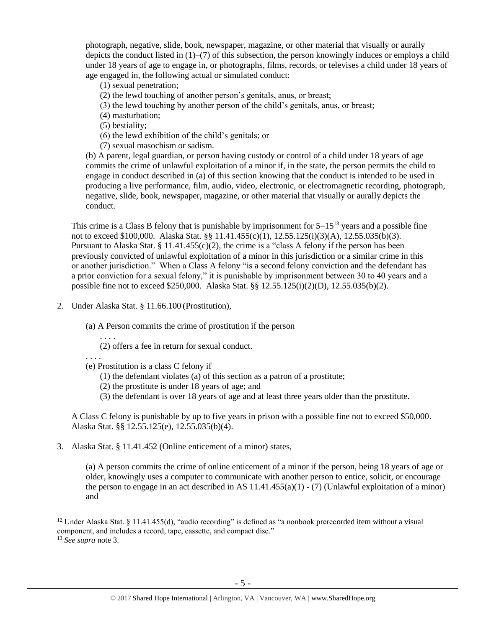photograph, negative, slide, book, newspaper, magazine, or other material that visually or aurally depicts the conduct listed in (1)–(7) of this subsection, the person knowingly induces or employs a child under 18 years of age to engage in, or photographs, films, records, or televises a child under 18 years of age engaged in, the following actual or simulated conduct:

- (1) sexual penetration;
- (2) the lewd touching of another person's genitals, anus, or breast;
- (3) the lewd touching by another person of the child's genitals, anus, or breast;

(4) masturbation;

(5) bestiality;

(6) the lewd exhibition of the child's genitals; or

(7) sexual masochism or sadism.

(b) A parent, legal guardian, or person having custody or control of a child under 18 years of age commits the crime of unlawful exploitation of a minor if, in the state, the person permits the child to engage in conduct described in (a) of this section knowing that the conduct is intended to be used in producing a live performance, film, audio, video, electronic, or electromagnetic recording, photograph, negative, slide, book, newspaper, magazine, or other material that visually or aurally depicts the conduct.

This crime is a Class B felony that is punishable by imprisonment for  $5-15^{13}$  years and a possible fine not to exceed \$100,000. Alaska Stat. §§ 11.41.455(c)(1), 12.55.125(i)(3)(A), 12.55.035(b)(3). Pursuant to Alaska Stat. § 11.41.455(c)(2), the crime is a "class A felony if the person has been previously convicted of unlawful exploitation of a minor in this jurisdiction or a similar crime in this or another jurisdiction." When a Class A felony "is a second felony conviction and the defendant has a prior conviction for a sexual felony," it is punishable by imprisonment between 30 to 40 years and a possible fine not to exceed \$250,000. Alaska Stat. §§ 12.55.125(i)(2)(D), 12.55.035(b)(2).

2. Under Alaska Stat. § 11.66.100 (Prostitution),

(a) A Person commits the crime of prostitution if the person

- . . . . (2) offers a fee in return for sexual conduct.
- . . . .
- (e) Prostitution is a class C felony if
	- (1) the defendant violates (a) of this section as a patron of a prostitute;
	- (2) the prostitute is under 18 years of age; and
	- (3) the defendant is over 18 years of age and at least three years older than the prostitute.

A Class C felony is punishable by up to five years in prison with a possible fine not to exceed \$50,000. Alaska Stat. §§ 12.55.125(e), 12.55.035(b)(4).

3. Alaska Stat. § 11.41.452 (Online enticement of a minor) states,

(a) A person commits the crime of online enticement of a minor if the person, being 18 years of age or older, knowingly uses a computer to communicate with another person to entice, solicit, or encourage the person to engage in an act described in AS  $11.41.455(a)(1)$  - (7) (Unlawful exploitation of a minor) and

 $12$  Under Alaska Stat. § 11.41.455(d), "audio recording" is defined as "a nonbook prerecorded item without a visual component, and includes a record, tape, cassette, and compact disc."

<sup>13</sup> *See supra* note [3.](#page-1-0)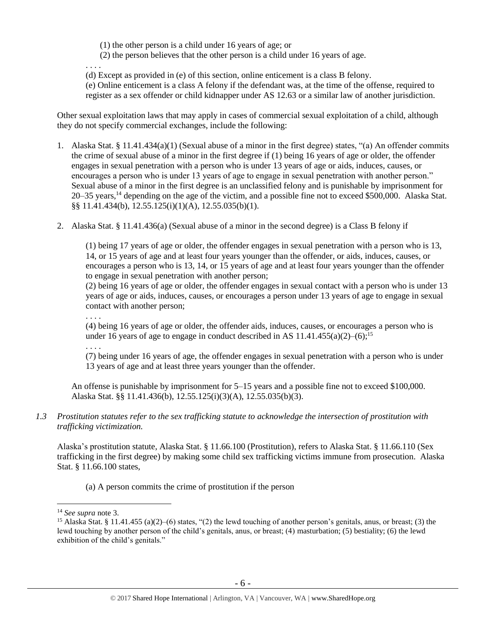(1) the other person is a child under 16 years of age; or

(2) the person believes that the other person is a child under 16 years of age.

. . . .

(d) Except as provided in (e) of this section, online enticement is a class B felony.

(e) Online enticement is a class A felony if the defendant was, at the time of the offense, required to register as a sex offender or child kidnapper under AS 12.63 or a similar law of another jurisdiction.

Other sexual exploitation laws that may apply in cases of commercial sexual exploitation of a child, although they do not specify commercial exchanges, include the following:

- 1. Alaska Stat. § 11.41.434(a)(1) (Sexual abuse of a minor in the first degree) states, "(a) An offender commits the crime of sexual abuse of a minor in the first degree if (1) being 16 years of age or older, the offender engages in sexual penetration with a person who is under 13 years of age or aids, induces, causes, or encourages a person who is under 13 years of age to engage in sexual penetration with another person." Sexual abuse of a minor in the first degree is an unclassified felony and is punishable by imprisonment for 20–35 years,<sup>14</sup> depending on the age of the victim, and a possible fine not to exceed \$500,000. Alaska Stat. §§ 11.41.434(b), 12.55.125(i)(1)(A), 12.55.035(b)(1).
- 2. Alaska Stat. § 11.41.436(a) (Sexual abuse of a minor in the second degree) is a Class B felony if

(1) being 17 years of age or older, the offender engages in sexual penetration with a person who is 13, 14, or 15 years of age and at least four years younger than the offender, or aids, induces, causes, or encourages a person who is 13, 14, or 15 years of age and at least four years younger than the offender to engage in sexual penetration with another person;

(2) being 16 years of age or older, the offender engages in sexual contact with a person who is under 13 years of age or aids, induces, causes, or encourages a person under 13 years of age to engage in sexual contact with another person;

. . . .

(4) being 16 years of age or older, the offender aids, induces, causes, or encourages a person who is under 16 years of age to engage in conduct described in AS  $11.41.455(a)(2)$ –(6);<sup>15</sup>

. . . .

(7) being under 16 years of age, the offender engages in sexual penetration with a person who is under 13 years of age and at least three years younger than the offender.

An offense is punishable by imprisonment for 5–15 years and a possible fine not to exceed \$100,000. Alaska Stat. §§ 11.41.436(b), 12.55.125(i)(3)(A), 12.55.035(b)(3).

*1.3 Prostitution statutes refer to the sex trafficking statute to acknowledge the intersection of prostitution with trafficking victimization.* 

Alaska's prostitution statute, Alaska Stat. § 11.66.100 (Prostitution), refers to Alaska Stat. § 11.66.110 (Sex trafficking in the first degree) by making some child sex trafficking victims immune from prosecution. Alaska Stat. § 11.66.100 states,

(a) A person commits the crime of prostitution if the person

<sup>14</sup> *See supra* note [3.](#page-1-0)

<sup>&</sup>lt;sup>15</sup> Alaska Stat. § 11.41.455 (a)(2)–(6) states, "(2) the lewd touching of another person's genitals, anus, or breast; (3) the lewd touching by another person of the child's genitals, anus, or breast; (4) masturbation; (5) bestiality; (6) the lewd exhibition of the child's genitals."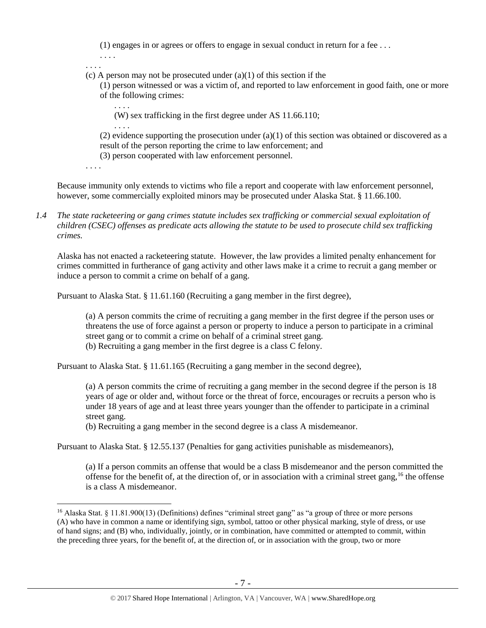(1) engages in or agrees or offers to engage in sexual conduct in return for a fee . . .

. . . .

. . . .

. . . .

. . . .

(c) A person may not be prosecuted under  $(a)(1)$  of this section if the

(1) person witnessed or was a victim of, and reported to law enforcement in good faith, one or more of the following crimes:

(W) sex trafficking in the first degree under AS 11.66.110;

(2) evidence supporting the prosecution under  $(a)(1)$  of this section was obtained or discovered as a result of the person reporting the crime to law enforcement; and

(3) person cooperated with law enforcement personnel.

. . . .

 $\overline{a}$ 

Because immunity only extends to victims who file a report and cooperate with law enforcement personnel, however, some commercially exploited minors may be prosecuted under Alaska Stat. § 11.66.100.

*1.4 The state racketeering or gang crimes statute includes sex trafficking or commercial sexual exploitation of children (CSEC) offenses as predicate acts allowing the statute to be used to prosecute child sex trafficking crimes.* 

Alaska has not enacted a racketeering statute. However, the law provides a limited penalty enhancement for crimes committed in furtherance of gang activity and other laws make it a crime to recruit a gang member or induce a person to commit a crime on behalf of a gang.

Pursuant to Alaska Stat. § 11.61.160 (Recruiting a gang member in the first degree),

(a) A person commits the crime of recruiting a gang member in the first degree if the person uses or threatens the use of force against a person or property to induce a person to participate in a criminal street gang or to commit a crime on behalf of a criminal street gang.

(b) Recruiting a gang member in the first degree is a class C felony.

Pursuant to Alaska Stat. § 11.61.165 (Recruiting a gang member in the second degree),

(a) A person commits the crime of recruiting a gang member in the second degree if the person is 18 years of age or older and, without force or the threat of force, encourages or recruits a person who is under 18 years of age and at least three years younger than the offender to participate in a criminal street gang.

(b) Recruiting a gang member in the second degree is a class A misdemeanor.

Pursuant to Alaska Stat. § 12.55.137 (Penalties for gang activities punishable as misdemeanors),

(a) If a person commits an offense that would be a class B misdemeanor and the person committed the offense for the benefit of, at the direction of, or in association with a criminal street gang,<sup>16</sup> the offense is a class A misdemeanor.

<sup>&</sup>lt;sup>16</sup> Alaska Stat. § 11.81.900(13) (Definitions) defines "criminal street gang" as "a group of three or more persons (A) who have in common a name or identifying sign, symbol, tattoo or other physical marking, style of dress, or use of hand signs; and (B) who, individually, jointly, or in combination, have committed or attempted to commit, within the preceding three years, for the benefit of, at the direction of, or in association with the group, two or more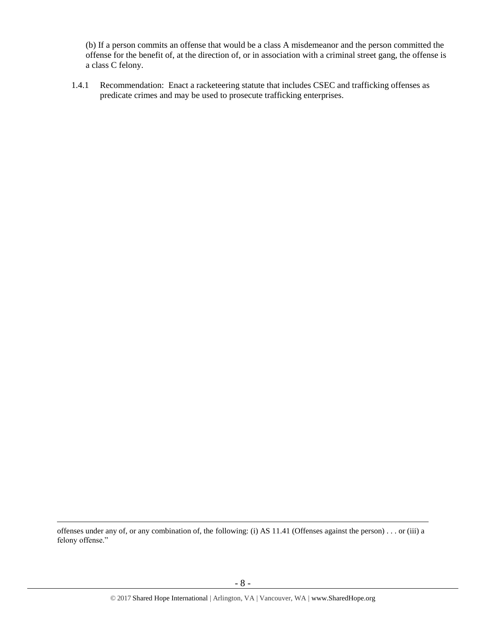(b) If a person commits an offense that would be a class A misdemeanor and the person committed the offense for the benefit of, at the direction of, or in association with a criminal street gang, the offense is a class C felony.

1.4.1 Recommendation: Enact a racketeering statute that includes CSEC and trafficking offenses as predicate crimes and may be used to prosecute trafficking enterprises.

offenses under any of, or any combination of, the following: (i) AS 11.41 (Offenses against the person) . . . or (iii) a felony offense."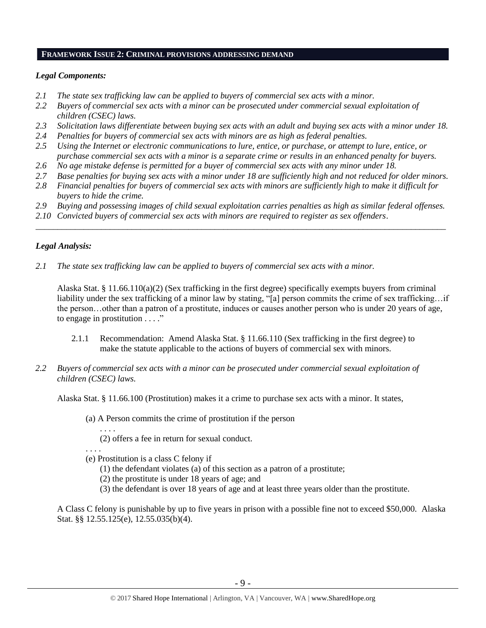#### **FRAMEWORK ISSUE 2: CRIMINAL PROVISIONS ADDRESSING DEMAND**

### *Legal Components:*

- *2.1 The state sex trafficking law can be applied to buyers of commercial sex acts with a minor.*
- *2.2 Buyers of commercial sex acts with a minor can be prosecuted under commercial sexual exploitation of children (CSEC) laws.*
- *2.3 Solicitation laws differentiate between buying sex acts with an adult and buying sex acts with a minor under 18.*
- *2.4 Penalties for buyers of commercial sex acts with minors are as high as federal penalties.*
- *2.5 Using the Internet or electronic communications to lure, entice, or purchase, or attempt to lure, entice, or purchase commercial sex acts with a minor is a separate crime or results in an enhanced penalty for buyers.*
- *2.6 No age mistake defense is permitted for a buyer of commercial sex acts with any minor under 18.*
- *2.7 Base penalties for buying sex acts with a minor under 18 are sufficiently high and not reduced for older minors.*
- *2.8 Financial penalties for buyers of commercial sex acts with minors are sufficiently high to make it difficult for buyers to hide the crime.*
- *2.9 Buying and possessing images of child sexual exploitation carries penalties as high as similar federal offenses.*

\_\_\_\_\_\_\_\_\_\_\_\_\_\_\_\_\_\_\_\_\_\_\_\_\_\_\_\_\_\_\_\_\_\_\_\_\_\_\_\_\_\_\_\_\_\_\_\_\_\_\_\_\_\_\_\_\_\_\_\_\_\_\_\_\_\_\_\_\_\_\_\_\_\_\_\_\_\_\_\_\_\_\_\_\_\_\_\_\_\_\_\_\_\_

*2.10 Convicted buyers of commercial sex acts with minors are required to register as sex offenders*.

#### *Legal Analysis:*

*2.1 The state sex trafficking law can be applied to buyers of commercial sex acts with a minor.*

Alaska Stat. § 11.66.110(a)(2) (Sex trafficking in the first degree) specifically exempts buyers from criminal liability under the sex trafficking of a minor law by stating, "[a] person commits the crime of sex trafficking…if the person…other than a patron of a prostitute, induces or causes another person who is under 20 years of age, to engage in prostitution . . . ."

- 2.1.1 Recommendation: Amend Alaska Stat. § 11.66.110 (Sex trafficking in the first degree) to make the statute applicable to the actions of buyers of commercial sex with minors.
- *2.2 Buyers of commercial sex acts with a minor can be prosecuted under commercial sexual exploitation of children (CSEC) laws.*

Alaska Stat. § 11.66.100 (Prostitution) makes it a crime to purchase sex acts with a minor. It states,

(a) A Person commits the crime of prostitution if the person

(2) offers a fee in return for sexual conduct.

(e) Prostitution is a class C felony if

. . . .

. . . .

- (1) the defendant violates (a) of this section as a patron of a prostitute;
- (2) the prostitute is under 18 years of age; and
- (3) the defendant is over 18 years of age and at least three years older than the prostitute.

A Class C felony is punishable by up to five years in prison with a possible fine not to exceed \$50,000. Alaska Stat. §§ 12.55.125(e), 12.55.035(b)(4).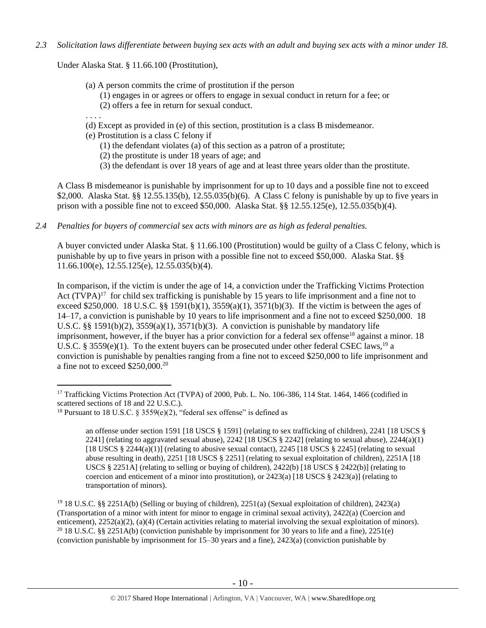*2.3 Solicitation laws differentiate between buying sex acts with an adult and buying sex acts with a minor under 18.*

Under Alaska Stat. § 11.66.100 (Prostitution),

- (a) A person commits the crime of prostitution if the person
	- (1) engages in or agrees or offers to engage in sexual conduct in return for a fee; or
	- (2) offers a fee in return for sexual conduct.
- . . . .
- (d) Except as provided in (e) of this section, prostitution is a class B misdemeanor.
- (e) Prostitution is a class C felony if
	- (1) the defendant violates (a) of this section as a patron of a prostitute;
	- (2) the prostitute is under 18 years of age; and
	- (3) the defendant is over 18 years of age and at least three years older than the prostitute.

A Class B misdemeanor is punishable by imprisonment for up to 10 days and a possible fine not to exceed \$2,000. Alaska Stat. §§ 12.55.135(b), 12.55.035(b)(6). A Class C felony is punishable by up to five years in prison with a possible fine not to exceed \$50,000. Alaska Stat. §§ 12.55.125(e), 12.55.035(b)(4).

*2.4 Penalties for buyers of commercial sex acts with minors are as high as federal penalties.*

A buyer convicted under Alaska Stat. § 11.66.100 (Prostitution) would be guilty of a Class C felony, which is punishable by up to five years in prison with a possible fine not to exceed \$50,000. Alaska Stat. §§ 11.66.100(e), 12.55.125(e), 12.55.035(b)(4).

<span id="page-9-0"></span>In comparison, if the victim is under the age of 14, a conviction under the Trafficking Victims Protection Act  $(TVPA)^{17}$  for child sex trafficking is punishable by 15 years to life imprisonment and a fine not to exceed \$250,000. 18 U.S.C. §§ 1591(b)(1),  $3559(a)(1)$ ,  $3571(b)(3)$ . If the victim is between the ages of 14–17, a conviction is punishable by 10 years to life imprisonment and a fine not to exceed \$250,000. 18 U.S.C. §§ 1591(b)(2),  $3559(a)(1)$ ,  $3571(b)(3)$ . A conviction is punishable by mandatory life imprisonment, however, if the buyer has a prior conviction for a federal sex offense<sup>18</sup> against a minor. 18 U.S.C. § 3559(e)(1). To the extent buyers can be prosecuted under other federal CSEC laws,<sup>19</sup> a conviction is punishable by penalties ranging from a fine not to exceed \$250,000 to life imprisonment and a fine not to exceed \$250,000.<sup>20</sup>

 $\overline{a}$ <sup>17</sup> Trafficking Victims Protection Act (TVPA) of 2000, Pub. L. No. 106-386, 114 Stat. 1464, 1466 (codified in scattered sections of 18 and 22 U.S.C.).

<sup>&</sup>lt;sup>18</sup> Pursuant to 18 U.S.C. § 3559(e)(2), "federal sex offense" is defined as

<span id="page-9-1"></span>an offense under section 1591 [18 USCS § 1591] (relating to sex trafficking of children), 2241 [18 USCS § 2241] (relating to aggravated sexual abuse),  $2242$  [18 USCS § 2242] (relating to sexual abuse),  $2244(a)(1)$ [18 USCS  $\S 2244(a)(1)$ ] (relating to abusive sexual contact), 2245 [18 USCS  $\S 2245$ ] (relating to sexual abuse resulting in death), 2251 [18 USCS § 2251] (relating to sexual exploitation of children), 2251A [18 USCS § 2251A] (relating to selling or buying of children),  $2422(b)$  [18 USCS § 2422(b)] (relating to coercion and enticement of a minor into prostitution), or  $2423(a)$  [18 USCS §  $2423(a)$ ] (relating to transportation of minors).

<sup>19</sup> 18 U.S.C. §§ 2251A(b) (Selling or buying of children), 2251(a) (Sexual exploitation of children), 2423(a) (Transportation of a minor with intent for minor to engage in criminal sexual activity), 2422(a) (Coercion and enticement), 2252(a)(2), (a)(4) (Certain activities relating to material involving the sexual exploitation of minors). <sup>20</sup> 18 U.S.C. §§ 2251A(b) (conviction punishable by imprisonment for 30 years to life and a fine), 2251(e) (conviction punishable by imprisonment for 15–30 years and a fine), 2423(a) (conviction punishable by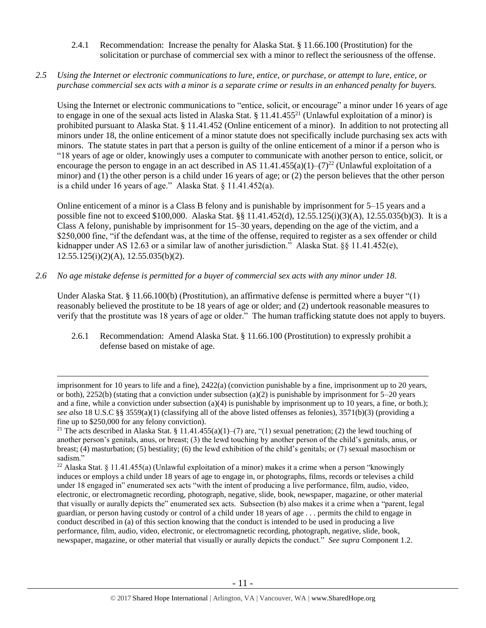- 2.4.1 Recommendation: Increase the penalty for Alaska Stat. § 11.66.100 (Prostitution) for the solicitation or purchase of commercial sex with a minor to reflect the seriousness of the offense.
- *2.5 Using the Internet or electronic communications to lure, entice, or purchase, or attempt to lure, entice, or purchase commercial sex acts with a minor is a separate crime or results in an enhanced penalty for buyers.*

Using the Internet or electronic communications to "entice, solicit, or encourage" a minor under 16 years of age to engage in one of the sexual acts listed in Alaska Stat.  $\S 11.41.455^{21}$  (Unlawful exploitation of a minor) is prohibited pursuant to Alaska Stat. § 11.41.452 (Online enticement of a minor). In addition to not protecting all minors under 18, the online enticement of a minor statute does not specifically include purchasing sex acts with minors. The statute states in part that a person is guilty of the online enticement of a minor if a person who is "18 years of age or older, knowingly uses a computer to communicate with another person to entice, solicit, or encourage the person to engage in an act described in AS  $11.41.455(a)(1)-(7)^{22}$  (Unlawful exploitation of a minor) and (1) the other person is a child under 16 years of age; or (2) the person believes that the other person is a child under 16 years of age." Alaska Stat. § 11.41.452(a).

Online enticement of a minor is a Class B felony and is punishable by imprisonment for 5–15 years and a possible fine not to exceed \$100,000. Alaska Stat. §§ 11.41.452(d), 12.55.125(i)(3)(A), 12.55.035(b)(3). It is a Class A felony, punishable by imprisonment for 15–30 years, depending on the age of the victim, and a \$250,000 fine, "if the defendant was, at the time of the offense, required to register as a sex offender or child kidnapper under AS 12.63 or a similar law of another jurisdiction." Alaska Stat. §§ 11.41.452(e), 12.55.125(i)(2)(A), 12.55.035(b)(2).

*2.6 No age mistake defense is permitted for a buyer of commercial sex acts with any minor under 18.*

 $\overline{a}$ 

Under Alaska Stat. § 11.66.100(b) (Prostitution), an affirmative defense is permitted where a buyer "(1) reasonably believed the prostitute to be 18 years of age or older; and (2) undertook reasonable measures to verify that the prostitute was 18 years of age or older." The human trafficking statute does not apply to buyers.

2.6.1 Recommendation: Amend Alaska Stat. § 11.66.100 (Prostitution) to expressly prohibit a defense based on mistake of age.

imprisonment for 10 years to life and a fine), 2422(a) (conviction punishable by a fine, imprisonment up to 20 years, or both), 2252(b) (stating that a conviction under subsection (a)(2) is punishable by imprisonment for  $5-20$  years and a fine, while a conviction under subsection (a)(4) is punishable by imprisonment up to 10 years, a fine, or both.); *see also* 18 U.S.C §§ 3559(a)(1) (classifying all of the above listed offenses as felonies), 3571(b)(3) (providing a fine up to \$250,000 for any felony conviction).

<sup>&</sup>lt;sup>21</sup> The acts described in Alaska Stat. § 11.41.455(a)(1)–(7) are, "(1) sexual penetration; (2) the lewd touching of another person's genitals, anus, or breast; (3) the lewd touching by another person of the child's genitals, anus, or breast; (4) masturbation; (5) bestiality; (6) the lewd exhibition of the child's genitals; or (7) sexual masochism or sadism."

<sup>&</sup>lt;sup>22</sup> Alaska Stat. § 11.41.455(a) (Unlawful exploitation of a minor) makes it a crime when a person "knowingly induces or employs a child under 18 years of age to engage in, or photographs, films, records or televises a child under 18 engaged in" enumerated sex acts "with the intent of producing a live performance, film, audio, video, electronic, or electromagnetic recording, photograph, negative, slide, book, newspaper, magazine, or other material that visually or aurally depicts the" enumerated sex acts. Subsection (b) also makes it a crime when a "parent, legal guardian, or person having custody or control of a child under 18 years of age . . . permits the child to engage in conduct described in (a) of this section knowing that the conduct is intended to be used in producing a live performance, film, audio, video, electronic, or electromagnetic recording, photograph, negative, slide, book, newspaper, magazine, or other material that visually or aurally depicts the conduct." *See supra* Component 1.2.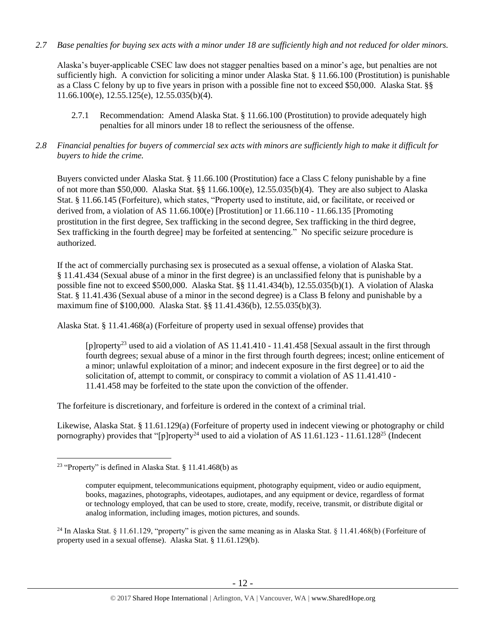*2.7 Base penalties for buying sex acts with a minor under 18 are sufficiently high and not reduced for older minors.*

Alaska's buyer-applicable CSEC law does not stagger penalties based on a minor's age, but penalties are not sufficiently high. A conviction for soliciting a minor under Alaska Stat. § 11.66.100 (Prostitution) is punishable as a Class C felony by up to five years in prison with a possible fine not to exceed \$50,000. Alaska Stat. §§ 11.66.100(e), 12.55.125(e), 12.55.035(b)(4).

- 2.7.1 Recommendation: Amend Alaska Stat. § 11.66.100 (Prostitution) to provide adequately high penalties for all minors under 18 to reflect the seriousness of the offense.
- *2.8 Financial penalties for buyers of commercial sex acts with minors are sufficiently high to make it difficult for buyers to hide the crime.*

Buyers convicted under Alaska Stat. § 11.66.100 (Prostitution) face a Class C felony punishable by a fine of not more than \$50,000. Alaska Stat. §§ 11.66.100(e), 12.55.035(b)(4). They are also subject to Alaska Stat. § 11.66.145 (Forfeiture), which states, "Property used to institute, aid, or facilitate, or received or derived from, a violation of AS 11.66.100(e) [Prostitution] or 11.66.110 - 11.66.135 [Promoting prostitution in the first degree, Sex trafficking in the second degree, Sex trafficking in the third degree, Sex trafficking in the fourth degree] may be forfeited at sentencing." No specific seizure procedure is authorized.

If the act of commercially purchasing sex is prosecuted as a sexual offense, a violation of Alaska Stat. § 11.41.434 (Sexual abuse of a minor in the first degree) is an unclassified felony that is punishable by a possible fine not to exceed \$500,000. Alaska Stat. §§ 11.41.434(b), 12.55.035(b)(1). A violation of Alaska Stat. § 11.41.436 (Sexual abuse of a minor in the second degree) is a Class B felony and punishable by a maximum fine of \$100,000. Alaska Stat. §§ 11.41.436(b), 12.55.035(b)(3).

Alaska Stat. § 11.41.468(a) (Forfeiture of property used in sexual offense) provides that

<span id="page-11-0"></span>[p]roperty<sup>23</sup> used to aid a violation of AS 11.41.410 - 11.41.458 [Sexual assault in the first through fourth degrees; sexual abuse of a minor in the first through fourth degrees; incest; online enticement of a minor; unlawful exploitation of a minor; and indecent exposure in the first degree] or to aid the solicitation of, attempt to commit, or conspiracy to commit a violation of AS 11.41.410 - 11.41.458 may be forfeited to the state upon the conviction of the offender.

The forfeiture is discretionary, and forfeiture is ordered in the context of a criminal trial.

Likewise, Alaska Stat. § 11.61.129(a) (Forfeiture of property used in indecent viewing or photography or child pornography) provides that "[p]roperty<sup>24</sup> used to aid a violation of AS 11.61.123 - 11.61.128<sup>25</sup> (Indecent

<sup>23</sup> "Property" is defined in Alaska Stat. § 11.41.468(b) as

<span id="page-11-1"></span>computer equipment, telecommunications equipment, photography equipment, video or audio equipment, books, magazines, photographs, videotapes, audiotapes, and any equipment or device, regardless of format or technology employed, that can be used to store, create, modify, receive, transmit, or distribute digital or analog information, including images, motion pictures, and sounds.

<sup>&</sup>lt;sup>24</sup> In Alaska Stat. § 11.61.129, "property" is given the same meaning as in Alaska Stat. § 11.41.468(b) (Forfeiture of property used in a sexual offense). Alaska Stat. § 11.61.129(b).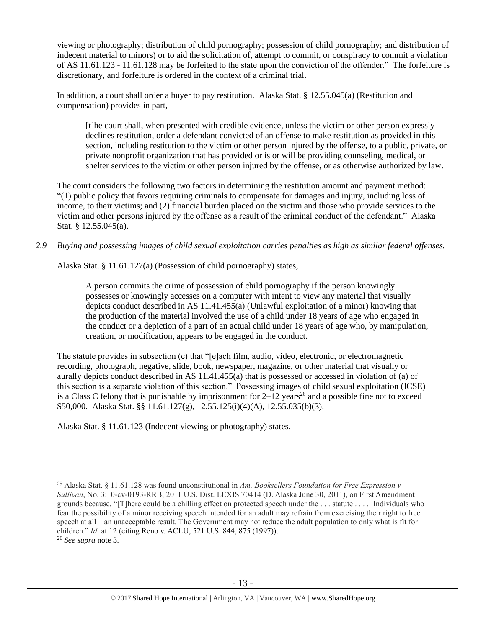viewing or photography; distribution of child pornography; possession of child pornography; and distribution of indecent material to minors) or to aid the solicitation of, attempt to commit, or conspiracy to commit a violation of AS 11.61.123 - 11.61.128 may be forfeited to the state upon the conviction of the offender." The forfeiture is discretionary, and forfeiture is ordered in the context of a criminal trial.

In addition, a court shall order a buyer to pay restitution. Alaska Stat. § 12.55.045(a) (Restitution and compensation) provides in part,

[t]he court shall, when presented with credible evidence, unless the victim or other person expressly declines restitution, order a defendant convicted of an offense to make restitution as provided in this section, including restitution to the victim or other person injured by the offense, to a public, private, or private nonprofit organization that has provided or is or will be providing counseling, medical, or shelter services to the victim or other person injured by the offense, or as otherwise authorized by law.

The court considers the following two factors in determining the restitution amount and payment method: "(1) public policy that favors requiring criminals to compensate for damages and injury, including loss of income, to their victims; and (2) financial burden placed on the victim and those who provide services to the victim and other persons injured by the offense as a result of the criminal conduct of the defendant." Alaska Stat. § 12.55.045(a).

*2.9 Buying and possessing images of child sexual exploitation carries penalties as high as similar federal offenses.*

Alaska Stat. § 11.61.127(a) (Possession of child pornography) states,

A person commits the crime of possession of child pornography if the person knowingly possesses or knowingly accesses on a computer with intent to view any material that visually depicts conduct described in AS 11.41.455(a) (Unlawful exploitation of a minor) knowing that the production of the material involved the use of a child under 18 years of age who engaged in the conduct or a depiction of a part of an actual child under 18 years of age who, by manipulation, creation, or modification, appears to be engaged in the conduct.

The statute provides in subsection (c) that "[e]ach film, audio, video, electronic, or electromagnetic recording, photograph, negative, slide, book, newspaper, magazine, or other material that visually or aurally depicts conduct described in AS 11.41.455(a) that is possessed or accessed in violation of (a) of this section is a separate violation of this section." Possessing images of child sexual exploitation (ICSE) is a Class C felony that is punishable by imprisonment for  $2-12$  years<sup>26</sup> and a possible fine not to exceed \$50,000. Alaska Stat. §§ 11.61.127(g), 12.55.125(i)(4)(A), 12.55.035(b)(3).

Alaska Stat. § 11.61.123 (Indecent viewing or photography) states,

 $\overline{a}$ <sup>25</sup> Alaska Stat. § 11.61.128 was found unconstitutional in *Am. Booksellers Foundation for Free Expression v. Sullivan*, No. 3:10-cv-0193-RRB, 2011 U.S. Dist. LEXIS 70414 (D. Alaska June 30, 2011), on First Amendment grounds because, "[T]here could be a chilling effect on protected speech under the . . . statute . . . . Individuals who fear the possibility of a minor receiving speech intended for an adult may refrain from exercising their right to free speech at all—an unacceptable result. The Government may not reduce the adult population to only what is fit for children." *Id.* at 12 (citing Reno v. ACLU, 521 U.S. 844, 875 (1997)).

<sup>26</sup> *See supra* note [3.](#page-1-0)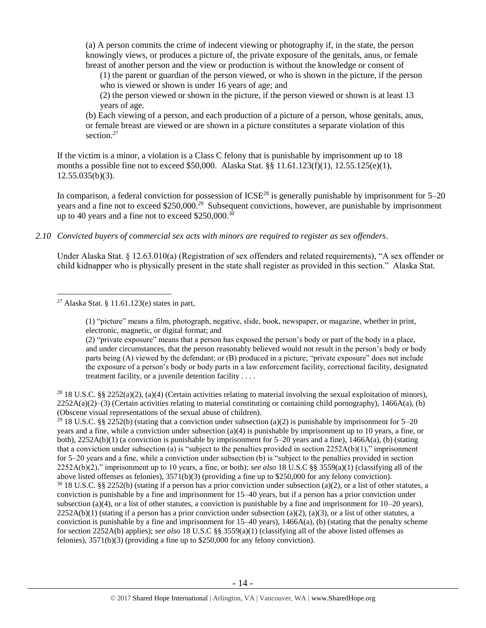(a) A person commits the crime of indecent viewing or photography if, in the state, the person knowingly views, or produces a picture of, the private exposure of the genitals, anus, or female breast of another person and the view or production is without the knowledge or consent of

(1) the parent or guardian of the person viewed, or who is shown in the picture, if the person who is viewed or shown is under 16 years of age; and

(2) the person viewed or shown in the picture, if the person viewed or shown is at least 13 years of age.

<span id="page-13-0"></span>(b) Each viewing of a person, and each production of a picture of a person, whose genitals, anus, or female breast are viewed or are shown in a picture constitutes a separate violation of this section.<sup>27</sup>

If the victim is a minor, a violation is a Class C felony that is punishable by imprisonment up to 18 months a possible fine not to exceed \$50,000. Alaska Stat. §§ 11.61.123(f)(1), 12.55.125(e)(1),  $12.55.035(b)(3)$ .

In comparison, a federal conviction for possession of  $ICSE^{28}$  is generally punishable by imprisonment for  $5-20$ years and a fine not to exceed \$250,000.<sup>29</sup> Subsequent convictions, however, are punishable by imprisonment up to 40 years and a fine not to exceed \$250,000.<sup>30</sup>

*2.10 Convicted buyers of commercial sex acts with minors are required to register as sex offenders*.

Under Alaska Stat. § 12.63.010(a) (Registration of sex offenders and related requirements), "A sex offender or child kidnapper who is physically present in the state shall register as provided in this section." Alaska Stat.

(1) "picture" means a film, photograph, negative, slide, book, newspaper, or magazine, whether in print, electronic, magnetic, or digital format; and

(2) "private exposure" means that a person has exposed the person's body or part of the body in a place, and under circumstances, that the person reasonably believed would not result in the person's body or body parts being (A) viewed by the defendant; or (B) produced in a picture; "private exposure" does not include the exposure of a person's body or body parts in a law enforcement facility, correctional facility, designated treatment facility, or a juvenile detention facility . . . .

<sup>28</sup> 18 U.S.C. §§ 2252(a)(2), (a)(4) (Certain activities relating to material involving the sexual exploitation of minors),  $2252A(a)(2)$ –(3) (Certain activities relating to material constituting or containing child pornography), 1466A(a), (b) (Obscene visual representations of the sexual abuse of children).

<sup>29</sup> 18 U.S.C. §§ 2252(b) (stating that a conviction under subsection (a)(2) is punishable by imprisonment for 5–20 years and a fine, while a conviction under subsection (a)(4) is punishable by imprisonment up to 10 years, a fine, or both),  $2252A(b)(1)$  (a conviction is punishable by imprisonment for 5–20 years and a fine),  $1466A(a)$ , (b) (stating that a conviction under subsection (a) is "subject to the penalties provided in section  $2252A(b)(1)$ ," imprisonment for 5–20 years and a fine, while a conviction under subsection (b) is "subject to the penalties provided in section 2252A(b)(2)," imprisonment up to 10 years, a fine, or both); *see also* 18 U.S.C §§ 3559(a)(1) (classifying all of the above listed offenses as felonies), 3571(b)(3) (providing a fine up to \$250,000 for any felony conviction).  $30\,18$  U.S.C. §§ 2252(b) (stating if a person has a prior conviction under subsection (a)(2), or a list of other statutes, a conviction is punishable by a fine and imprisonment for 15–40 years, but if a person has a prior conviction under subsection (a)(4), or a list of other statutes, a conviction is punishable by a fine and imprisonment for  $10-20$  years),  $2252A(b)(1)$  (stating if a person has a prior conviction under subsection (a)(2), (a)(3), or a list of other statutes, a conviction is punishable by a fine and imprisonment for 15–40 years), 1466A(a), (b) (stating that the penalty scheme for section 2252A(b) applies); *see also* 18 U.S.C §§ 3559(a)(1) (classifying all of the above listed offenses as felonies), 3571(b)(3) (providing a fine up to \$250,000 for any felony conviction).

 $\overline{a}$ <sup>27</sup> Alaska Stat. § 11.61.123(e) states in part,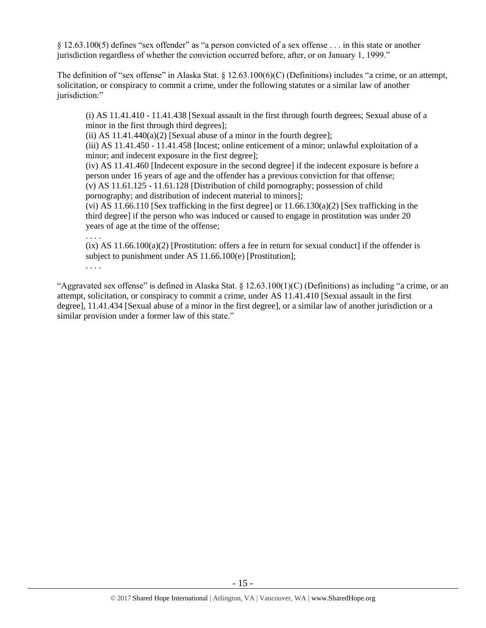§ 12.63.100(5) defines "sex offender" as "a person convicted of a sex offense . . . in this state or another jurisdiction regardless of whether the conviction occurred before, after, or on January 1, 1999."

The definition of "sex offense" in Alaska Stat. § 12.63.100(6)(C) (Definitions) includes "a crime, or an attempt, solicitation, or conspiracy to commit a crime, under the following statutes or a similar law of another jurisdiction:"

(i) AS 11.41.410 - 11.41.438 [Sexual assault in the first through fourth degrees; Sexual abuse of a minor in the first through third degrees];

(ii) AS  $11.41.440(a)(2)$  [Sexual abuse of a minor in the fourth degree];

(iii) AS 11.41.450 - 11.41.458 [Incest; online enticement of a minor; unlawful exploitation of a minor; and indecent exposure in the first degree];

(iv) AS 11.41.460 [Indecent exposure in the second degree] if the indecent exposure is before a person under 16 years of age and the offender has a previous conviction for that offense; (v) AS 11.61.125 - 11.61.128 [Distribution of child pornography; possession of child pornography; and distribution of indecent material to minors];

(vi) AS 11.66.110 [Sex trafficking in the first degree] or  $11.66.130(a)(2)$  [Sex trafficking in the third degree] if the person who was induced or caused to engage in prostitution was under 20 years of age at the time of the offense;

. . . .

 $(ix)$  AS 11.66.100(a)(2) [Prostitution: offers a fee in return for sexual conduct] if the offender is subject to punishment under AS 11.66.100(e) [Prostitution];

. . . .

"Aggravated sex offense" is defined in Alaska Stat.  $\S$  12.63.100(1)(C) (Definitions) as including "a crime, or an attempt, solicitation, or conspiracy to commit a crime, under AS 11.41.410 [Sexual assault in the first degree], 11.41.434 [Sexual abuse of a minor in the first degree], or a similar law of another jurisdiction or a similar provision under a former law of this state."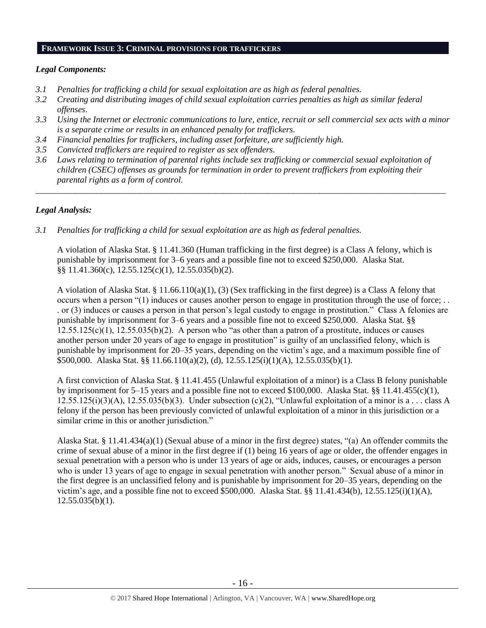#### **FRAMEWORK ISSUE 3: CRIMINAL PROVISIONS FOR TRAFFICKERS**

## *Legal Components:*

- *3.1 Penalties for trafficking a child for sexual exploitation are as high as federal penalties.*
- *3.2 Creating and distributing images of child sexual exploitation carries penalties as high as similar federal offenses*.
- *3.3 Using the Internet or electronic communications to lure, entice, recruit or sell commercial sex acts with a minor is a separate crime or results in an enhanced penalty for traffickers.*
- *3.4 Financial penalties for traffickers, including asset forfeiture, are sufficiently high.*
- *3.5 Convicted traffickers are required to register as sex offenders.*
- *3.6 Laws relating to termination of parental rights include sex trafficking or commercial sexual exploitation of children (CSEC) offenses as grounds for termination in order to prevent traffickers from exploiting their parental rights as a form of control.*

*\_\_\_\_\_\_\_\_\_\_\_\_\_\_\_\_\_\_\_\_\_\_\_\_\_\_\_\_\_\_\_\_\_\_\_\_\_\_\_\_\_\_\_\_\_\_\_\_\_\_\_\_\_\_\_\_\_\_\_\_\_\_\_\_\_\_\_\_\_\_\_\_\_\_\_\_\_\_\_\_\_\_\_\_\_\_\_\_\_\_\_\_\_\_*

# *Legal Analysis:*

*3.1 Penalties for trafficking a child for sexual exploitation are as high as federal penalties.* 

A violation of Alaska Stat. § 11.41.360 (Human trafficking in the first degree) is a Class A felony, which is punishable by imprisonment for 3–6 years and a possible fine not to exceed \$250,000. Alaska Stat. §§ 11.41.360(c), 12.55.125(c)(1), 12.55.035(b)(2).

A violation of Alaska Stat. § 11.66.110(a)(1), (3) (Sex trafficking in the first degree) is a Class A felony that occurs when a person "(1) induces or causes another person to engage in prostitution through the use of force; . . . or (3) induces or causes a person in that person's legal custody to engage in prostitution." Class A felonies are punishable by imprisonment for 3–6 years and a possible fine not to exceed \$250,000. Alaska Stat. §§  $12.55.125(c)(1)$ ,  $12.55.035(b)(2)$ . A person who "as other than a patron of a prostitute, induces or causes another person under 20 years of age to engage in prostitution" is guilty of an unclassified felony, which is punishable by imprisonment for 20–35 years, depending on the victim's age, and a maximum possible fine of \$500,000. Alaska Stat. §§ 11.66.110(a)(2), (d), 12.55.125(i)(1)(A), 12.55.035(b)(1).

A first conviction of Alaska Stat. § 11.41.455 (Unlawful exploitation of a minor) is a Class B felony punishable by imprisonment for 5–15 years and a possible fine not to exceed \$100,000. Alaska Stat. §§ 11.41.455(c)(1),  $12.55.125(i)(3)(A)$ ,  $12.55.035(b)(3)$ . Under subsection (c)(2), "Unlawful exploitation of a minor is a . . . class A felony if the person has been previously convicted of unlawful exploitation of a minor in this jurisdiction or a similar crime in this or another jurisdiction."

Alaska Stat. § 11.41.434(a)(1) (Sexual abuse of a minor in the first degree) states, "(a) An offender commits the crime of sexual abuse of a minor in the first degree if (1) being 16 years of age or older, the offender engages in sexual penetration with a person who is under 13 years of age or aids, induces, causes, or encourages a person who is under 13 years of age to engage in sexual penetration with another person." Sexual abuse of a minor in the first degree is an unclassified felony and is punishable by imprisonment for 20–35 years, depending on the victim's age, and a possible fine not to exceed \$500,000. Alaska Stat. §§ 11.41.434(b),  $12.55.125(i)(1)(A)$ ,  $12.55.035(b)(1)$ .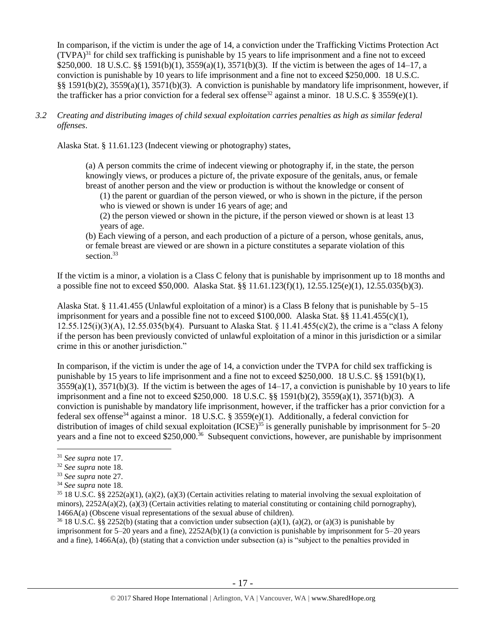In comparison, if the victim is under the age of 14, a conviction under the Trafficking Victims Protection Act  $(TVPA)^{31}$  for child sex trafficking is punishable by 15 years to life imprisonment and a fine not to exceed \$250,000. 18 U.S.C. §§ 1591(b)(1), 3559(a)(1), 3571(b)(3). If the victim is between the ages of 14–17, a conviction is punishable by 10 years to life imprisonment and a fine not to exceed \$250,000. 18 U.S.C. §§ 1591(b)(2), 3559(a)(1), 3571(b)(3). A conviction is punishable by mandatory life imprisonment, however, if the trafficker has a prior conviction for a federal sex offense<sup>32</sup> against a minor. 18 U.S.C. § 3559(e)(1).

*3.2 Creating and distributing images of child sexual exploitation carries penalties as high as similar federal offenses*.

Alaska Stat. § 11.61.123 (Indecent viewing or photography) states,

(a) A person commits the crime of indecent viewing or photography if, in the state, the person knowingly views, or produces a picture of, the private exposure of the genitals, anus, or female breast of another person and the view or production is without the knowledge or consent of

(1) the parent or guardian of the person viewed, or who is shown in the picture, if the person who is viewed or shown is under 16 years of age; and

(2) the person viewed or shown in the picture, if the person viewed or shown is at least 13 years of age.

(b) Each viewing of a person, and each production of a picture of a person, whose genitals, anus, or female breast are viewed or are shown in a picture constitutes a separate violation of this section.<sup>33</sup>

If the victim is a minor, a violation is a Class C felony that is punishable by imprisonment up to 18 months and a possible fine not to exceed \$50,000. Alaska Stat. §§ 11.61.123(f)(1), 12.55.125(e)(1), 12.55.035(b)(3).

Alaska Stat. § 11.41.455 (Unlawful exploitation of a minor) is a Class B felony that is punishable by 5–15 imprisonment for years and a possible fine not to exceed \$100,000. Alaska Stat. §§ 11.41.455(c)(1), 12.55.125(i)(3)(A), 12.55.035(b)(4). Pursuant to Alaska Stat. § 11.41.455(c)(2), the crime is a "class A felony if the person has been previously convicted of unlawful exploitation of a minor in this jurisdiction or a similar crime in this or another jurisdiction."

In comparison, if the victim is under the age of 14, a conviction under the TVPA for child sex trafficking is punishable by 15 years to life imprisonment and a fine not to exceed \$250,000. 18 U.S.C. §§ 1591(b)(1),  $3559(a)(1)$ ,  $3571(b)(3)$ . If the victim is between the ages of  $14-17$ , a conviction is punishable by 10 years to life imprisonment and a fine not to exceed \$250,000. 18 U.S.C. §§ 1591(b)(2), 3559(a)(1), 3571(b)(3). A conviction is punishable by mandatory life imprisonment, however, if the trafficker has a prior conviction for a federal sex offense<sup>34</sup> against a minor. 18 U.S.C. § 3559(e)(1). Additionally, a federal conviction for distribution of images of child sexual exploitation (ICSE)<sup>35</sup> is generally punishable by imprisonment for 5–20 years and a fine not to exceed \$250,000.<sup>36</sup> Subsequent convictions, however, are punishable by imprisonment

 $\overline{a}$ 

<sup>36</sup> 18 U.S.C. §§ 2252(b) (stating that a conviction under subsection (a)(1), (a)(2), or (a)(3) is punishable by imprisonment for 5–20 years and a fine), 2252A(b)(1) (a conviction is punishable by imprisonment for 5–20 years and a fine), 1466A(a), (b) (stating that a conviction under subsection (a) is "subject to the penalties provided in

<sup>31</sup> *See supra* note [17.](#page-9-0)

<sup>32</sup> *See supra* note [18.](#page-9-1)

<sup>33</sup> *See supra* note [27.](#page-13-0)

<sup>34</sup> *See supra* note [18.](#page-9-1)

 $35\,18$  U.S.C. §§ 2252(a)(1), (a)(2), (a)(3) (Certain activities relating to material involving the sexual exploitation of minors),  $2252A(a)(2)$ ,  $(a)(3)$  (Certain activities relating to material constituting or containing child pornography), 1466A(a) (Obscene visual representations of the sexual abuse of children).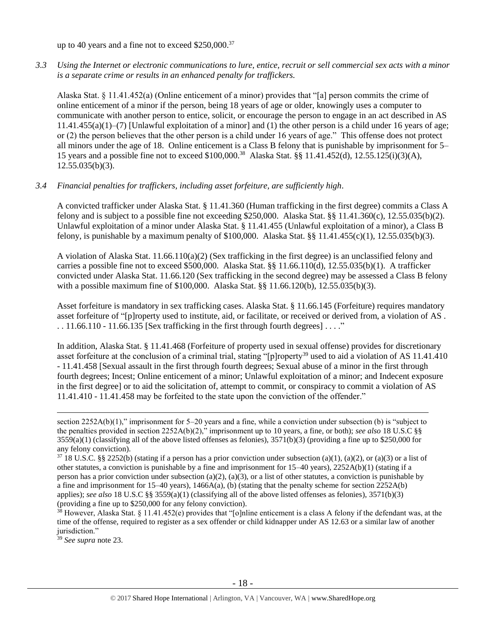up to 40 years and a fine not to exceed \$250,000.<sup>37</sup>

*3.3 Using the Internet or electronic communications to lure, entice, recruit or sell commercial sex acts with a minor is a separate crime or results in an enhanced penalty for traffickers.*

Alaska Stat. § 11.41.452(a) (Online enticement of a minor) provides that "[a] person commits the crime of online enticement of a minor if the person, being 18 years of age or older, knowingly uses a computer to communicate with another person to entice, solicit, or encourage the person to engage in an act described in AS 11.41.455(a)(1)–(7) [Unlawful exploitation of a minor] and (1) the other person is a child under 16 years of age; or (2) the person believes that the other person is a child under 16 years of age." This offense does not protect all minors under the age of 18. Online enticement is a Class B felony that is punishable by imprisonment for 5– 15 years and a possible fine not to exceed \$100,000.<sup>38</sup> Alaska Stat. §§ 11.41.452(d), 12.55.125(i)(3)(A),  $12.55.035(b)(3)$ .

## *3.4 Financial penalties for traffickers, including asset forfeiture, are sufficiently high*.

A convicted trafficker under Alaska Stat. § 11.41.360 (Human trafficking in the first degree) commits a Class A felony and is subject to a possible fine not exceeding \$250,000. Alaska Stat. §§ 11.41.360(c), 12.55.035(b)(2). Unlawful exploitation of a minor under Alaska Stat. § 11.41.455 (Unlawful exploitation of a minor), a Class B felony, is punishable by a maximum penalty of \$100,000. Alaska Stat. §§ 11.41.455(c)(1), 12.55.035(b)(3).

A violation of Alaska Stat. 11.66.110(a)(2) (Sex trafficking in the first degree) is an unclassified felony and carries a possible fine not to exceed \$500,000. Alaska Stat. §§ 11.66.110(d), 12.55.035(b)(1). A trafficker convicted under Alaska Stat. 11.66.120 (Sex trafficking in the second degree) may be assessed a Class B felony with a possible maximum fine of \$100,000. Alaska Stat. §§ 11.66.120(b), 12.55.035(b)(3).

Asset forfeiture is mandatory in sex trafficking cases. Alaska Stat. § 11.66.145 (Forfeiture) requires mandatory asset forfeiture of "[p]roperty used to institute, aid, or facilitate, or received or derived from, a violation of AS .  $\ldots$  11.66.110 - 11.66.135 [Sex trafficking in the first through fourth degrees]  $\ldots$ ."

In addition, Alaska Stat. § 11.41.468 (Forfeiture of property used in sexual offense) provides for discretionary asset forfeiture at the conclusion of a criminal trial, stating "[p]roperty<sup>39</sup> used to aid a violation of AS 11.41.410 - 11.41.458 [Sexual assault in the first through fourth degrees; Sexual abuse of a minor in the first through fourth degrees; Incest; Online enticement of a minor; Unlawful exploitation of a minor; and Indecent exposure in the first degree] or to aid the solicitation of, attempt to commit, or conspiracy to commit a violation of AS 11.41.410 - 11.41.458 may be forfeited to the state upon the conviction of the offender."

<sup>39</sup> *See supra* note [23.](#page-11-0)

section 2252A(b)(1)," imprisonment for 5–20 years and a fine, while a conviction under subsection (b) is "subject to the penalties provided in section 2252A(b)(2)," imprisonment up to 10 years, a fine, or both); *see also* 18 U.S.C §§  $3559(a)(1)$  (classifying all of the above listed offenses as felonies),  $3571(b)(3)$  (providing a fine up to \$250,000 for any felony conviction).

 $37\overline{18}$  U.S.C. §§ 2252(b) (stating if a person has a prior conviction under subsection (a)(1), (a)(2), or (a)(3) or a list of other statutes, a conviction is punishable by a fine and imprisonment for 15–40 years), 2252A(b)(1) (stating if a person has a prior conviction under subsection (a)(2), (a)(3), or a list of other statutes, a conviction is punishable by a fine and imprisonment for 15–40 years), 1466A(a), (b) (stating that the penalty scheme for section 2252A(b) applies); *see also* 18 U.S.C §§ 3559(a)(1) (classifying all of the above listed offenses as felonies), 3571(b)(3) (providing a fine up to \$250,000 for any felony conviction).

 $38$  However, Alaska Stat. § 11.41.452(e) provides that "[o]nline enticement is a class A felony if the defendant was, at the time of the offense, required to register as a sex offender or child kidnapper under AS 12.63 or a similar law of another jurisdiction."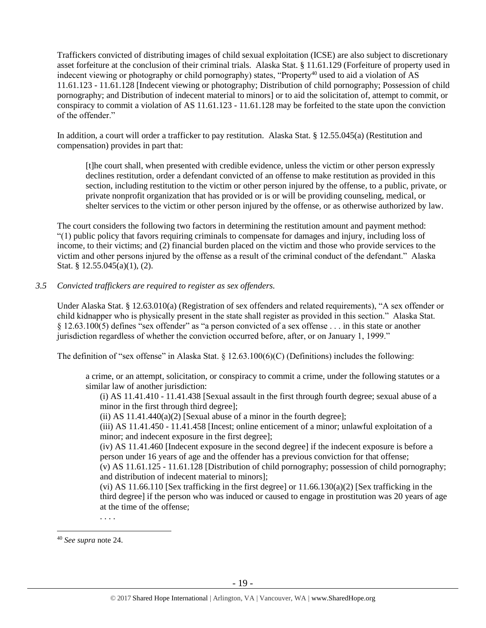Traffickers convicted of distributing images of child sexual exploitation (ICSE) are also subject to discretionary asset forfeiture at the conclusion of their criminal trials. Alaska Stat. § 11.61.129 (Forfeiture of property used in indecent viewing or photography or child pornography) states, "Property<sup>40</sup> used to aid a violation of AS 11.61.123 - 11.61.128 [Indecent viewing or photography; Distribution of child pornography; Possession of child pornography; and Distribution of indecent material to minors] or to aid the solicitation of, attempt to commit, or conspiracy to commit a violation of AS 11.61.123 - 11.61.128 may be forfeited to the state upon the conviction of the offender."

In addition, a court will order a trafficker to pay restitution. Alaska Stat. § 12.55.045(a) (Restitution and compensation) provides in part that:

[t]he court shall, when presented with credible evidence, unless the victim or other person expressly declines restitution, order a defendant convicted of an offense to make restitution as provided in this section, including restitution to the victim or other person injured by the offense, to a public, private, or private nonprofit organization that has provided or is or will be providing counseling, medical, or shelter services to the victim or other person injured by the offense, or as otherwise authorized by law.

The court considers the following two factors in determining the restitution amount and payment method: "(1) public policy that favors requiring criminals to compensate for damages and injury, including loss of income, to their victims; and (2) financial burden placed on the victim and those who provide services to the victim and other persons injured by the offense as a result of the criminal conduct of the defendant." Alaska Stat. § 12.55.045(a)(1), (2).

## *3.5 Convicted traffickers are required to register as sex offenders.*

Under Alaska Stat. § 12.63.010(a) (Registration of sex offenders and related requirements), "A sex offender or child kidnapper who is physically present in the state shall register as provided in this section." Alaska Stat. § 12.63.100(5) defines "sex offender" as "a person convicted of a sex offense . . . in this state or another jurisdiction regardless of whether the conviction occurred before, after, or on January 1, 1999."

The definition of "sex offense" in Alaska Stat. § 12.63.100(6)(C) (Definitions) includes the following:

a crime, or an attempt, solicitation, or conspiracy to commit a crime, under the following statutes or a similar law of another jurisdiction:

(i) AS 11.41.410 - 11.41.438 [Sexual assault in the first through fourth degree; sexual abuse of a minor in the first through third degree];

(ii) AS  $11.41.440(a)(2)$  [Sexual abuse of a minor in the fourth degree];

(iii) AS 11.41.450 - 11.41.458 [Incest; online enticement of a minor; unlawful exploitation of a minor; and indecent exposure in the first degree];

(iv) AS 11.41.460 [Indecent exposure in the second degree] if the indecent exposure is before a person under 16 years of age and the offender has a previous conviction for that offense;

(v) AS 11.61.125 - 11.61.128 [Distribution of child pornography; possession of child pornography; and distribution of indecent material to minors];

(vi) AS 11.66.110 [Sex trafficking in the first degree] or  $11.66.130(a)(2)$  [Sex trafficking in the third degree] if the person who was induced or caused to engage in prostitution was 20 years of age at the time of the offense;

. . . .

<sup>40</sup> *See supra* note [24.](#page-11-1)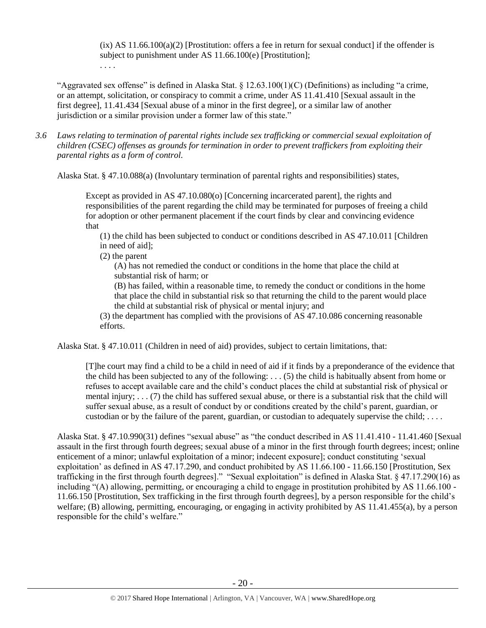$(ix)$  AS 11.66.100(a)(2) [Prostitution: offers a fee in return for sexual conduct] if the offender is subject to punishment under AS 11.66.100(e) [Prostitution]; . . . .

"Aggravated sex offense" is defined in Alaska Stat.  $\S 12.63.100(1)(C)$  (Definitions) as including "a crime, or an attempt, solicitation, or conspiracy to commit a crime, under AS 11.41.410 [Sexual assault in the first degree], 11.41.434 [Sexual abuse of a minor in the first degree], or a similar law of another jurisdiction or a similar provision under a former law of this state."

*3.6 Laws relating to termination of parental rights include sex trafficking or commercial sexual exploitation of children (CSEC) offenses as grounds for termination in order to prevent traffickers from exploiting their parental rights as a form of control.* 

Alaska Stat. § 47.10.088(a) (Involuntary termination of parental rights and responsibilities) states,

Except as provided in AS 47.10.080(o) [Concerning incarcerated parent], the rights and responsibilities of the parent regarding the child may be terminated for purposes of freeing a child for adoption or other permanent placement if the court finds by clear and convincing evidence that

(1) the child has been subjected to conduct or conditions described in AS 47.10.011 [Children in need of aid];

(2) the parent

(A) has not remedied the conduct or conditions in the home that place the child at substantial risk of harm; or

(B) has failed, within a reasonable time, to remedy the conduct or conditions in the home that place the child in substantial risk so that returning the child to the parent would place the child at substantial risk of physical or mental injury; and

(3) the department has complied with the provisions of AS 47.10.086 concerning reasonable efforts.

Alaska Stat. § 47.10.011 (Children in need of aid) provides, subject to certain limitations, that:

[T]he court may find a child to be a child in need of aid if it finds by a preponderance of the evidence that the child has been subjected to any of the following: . . . (5) the child is habitually absent from home or refuses to accept available care and the child's conduct places the child at substantial risk of physical or mental injury; . . . (7) the child has suffered sexual abuse, or there is a substantial risk that the child will suffer sexual abuse, as a result of conduct by or conditions created by the child's parent, guardian, or custodian or by the failure of the parent, guardian, or custodian to adequately supervise the child; . . . .

Alaska Stat. § 47.10.990(31) defines "sexual abuse" as "the conduct described in AS 11.41.410 - 11.41.460 [Sexual assault in the first through fourth degrees; sexual abuse of a minor in the first through fourth degrees; incest; online enticement of a minor; unlawful exploitation of a minor; indecent exposure]; conduct constituting 'sexual exploitation' as defined in AS 47.17.290, and conduct prohibited by AS 11.66.100 - 11.66.150 [Prostitution, Sex trafficking in the first through fourth degrees]." "Sexual exploitation" is defined in Alaska Stat. § 47.17.290(16) as including "(A) allowing, permitting, or encouraging a child to engage in prostitution prohibited by AS 11.66.100 - 11.66.150 [Prostitution, Sex trafficking in the first through fourth degrees], by a person responsible for the child's welfare; (B) allowing, permitting, encouraging, or engaging in activity prohibited by AS 11.41.455(a), by a person responsible for the child's welfare."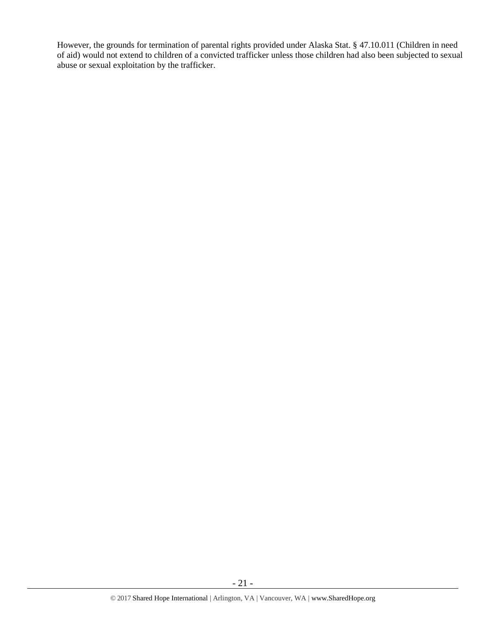However, the grounds for termination of parental rights provided under Alaska Stat. § 47.10.011 (Children in need of aid) would not extend to children of a convicted trafficker unless those children had also been subjected to sexual abuse or sexual exploitation by the trafficker.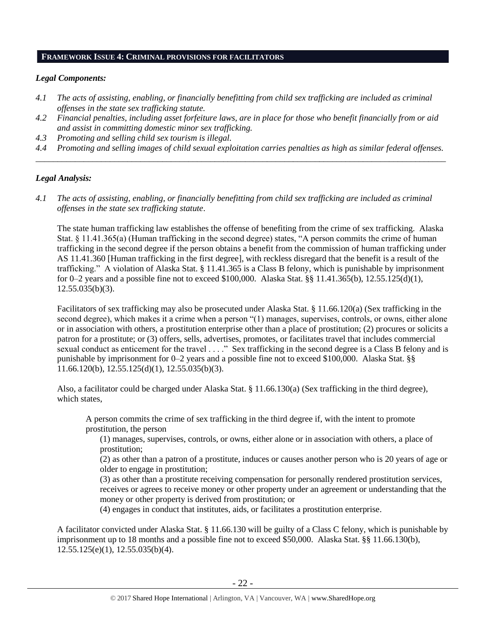### **FRAMEWORK ISSUE 4: CRIMINAL PROVISIONS FOR FACILITATORS**

## *Legal Components:*

- *4.1 The acts of assisting, enabling, or financially benefitting from child sex trafficking are included as criminal offenses in the state sex trafficking statute.*
- *4.2 Financial penalties, including asset forfeiture laws, are in place for those who benefit financially from or aid and assist in committing domestic minor sex trafficking.*
- *4.3 Promoting and selling child sex tourism is illegal.*
- *4.4 Promoting and selling images of child sexual exploitation carries penalties as high as similar federal offenses. \_\_\_\_\_\_\_\_\_\_\_\_\_\_\_\_\_\_\_\_\_\_\_\_\_\_\_\_\_\_\_\_\_\_\_\_\_\_\_\_\_\_\_\_\_\_\_\_\_\_\_\_\_\_\_\_\_\_\_\_\_\_\_\_\_\_\_\_\_\_\_\_\_\_\_\_\_\_\_\_\_\_\_\_\_\_\_\_\_\_\_\_\_\_*

# *Legal Analysis:*

*4.1 The acts of assisting, enabling, or financially benefitting from child sex trafficking are included as criminal offenses in the state sex trafficking statute*.

The state human trafficking law establishes the offense of benefiting from the crime of sex trafficking. Alaska Stat. § 11.41.365(a) (Human trafficking in the second degree) states, "A person commits the crime of human trafficking in the second degree if the person obtains a benefit from the commission of human trafficking under AS 11.41.360 [Human trafficking in the first degree], with reckless disregard that the benefit is a result of the trafficking." A violation of Alaska Stat. § 11.41.365 is a Class B felony, which is punishable by imprisonment for 0–2 years and a possible fine not to exceed \$100,000. Alaska Stat. §§ 11.41.365(b), 12.55.125(d)(1),  $12.55.035(b)(3)$ .

Facilitators of sex trafficking may also be prosecuted under Alaska Stat. § 11.66.120(a) (Sex trafficking in the second degree), which makes it a crime when a person "(1) manages, supervises, controls, or owns, either alone or in association with others, a prostitution enterprise other than a place of prostitution; (2) procures or solicits a patron for a prostitute; or (3) offers, sells, advertises, promotes, or facilitates travel that includes commercial sexual conduct as enticement for the travel . . . ." Sex trafficking in the second degree is a Class B felony and is punishable by imprisonment for 0–2 years and a possible fine not to exceed \$100,000. Alaska Stat. §§ 11.66.120(b), 12.55.125(d)(1), 12.55.035(b)(3).

Also, a facilitator could be charged under Alaska Stat. § 11.66.130(a) (Sex trafficking in the third degree), which states,

A person commits the crime of sex trafficking in the third degree if, with the intent to promote prostitution, the person

(1) manages, supervises, controls, or owns, either alone or in association with others, a place of prostitution;

(2) as other than a patron of a prostitute, induces or causes another person who is 20 years of age or older to engage in prostitution;

(3) as other than a prostitute receiving compensation for personally rendered prostitution services, receives or agrees to receive money or other property under an agreement or understanding that the money or other property is derived from prostitution; or

(4) engages in conduct that institutes, aids, or facilitates a prostitution enterprise.

A facilitator convicted under Alaska Stat. § 11.66.130 will be guilty of a Class C felony, which is punishable by imprisonment up to 18 months and a possible fine not to exceed \$50,000. Alaska Stat. §§ 11.66.130(b), 12.55.125(e)(1), 12.55.035(b)(4).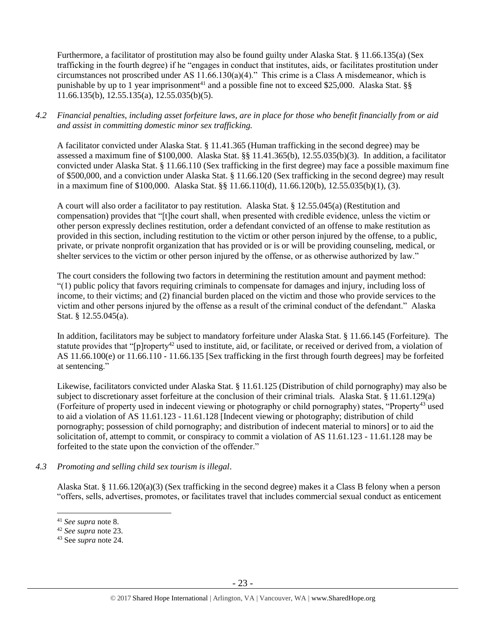Furthermore, a facilitator of prostitution may also be found guilty under Alaska Stat. § 11.66.135(a) (Sex trafficking in the fourth degree) if he "engages in conduct that institutes, aids, or facilitates prostitution under circumstances not proscribed under AS 11.66.130(a)(4)." This crime is a Class A misdemeanor, which is punishable by up to 1 year imprisonment<sup>41</sup> and a possible fine not to exceed \$25,000. Alaska Stat. §§ 11.66.135(b), 12.55.135(a), 12.55.035(b)(5).

# *4.2 Financial penalties, including asset forfeiture laws, are in place for those who benefit financially from or aid and assist in committing domestic minor sex trafficking.*

A facilitator convicted under Alaska Stat. § 11.41.365 (Human trafficking in the second degree) may be assessed a maximum fine of \$100,000. Alaska Stat. §§ 11.41.365(b), 12.55.035(b)(3). In addition, a facilitator convicted under Alaska Stat. § 11.66.110 (Sex trafficking in the first degree) may face a possible maximum fine of \$500,000, and a conviction under Alaska Stat. § 11.66.120 (Sex trafficking in the second degree) may result in a maximum fine of \$100,000. Alaska Stat. §§ 11.66.110(d), 11.66.120(b), 12.55.035(b)(1), (3).

A court will also order a facilitator to pay restitution. Alaska Stat. § 12.55.045(a) (Restitution and compensation) provides that "[t]he court shall, when presented with credible evidence, unless the victim or other person expressly declines restitution, order a defendant convicted of an offense to make restitution as provided in this section, including restitution to the victim or other person injured by the offense, to a public, private, or private nonprofit organization that has provided or is or will be providing counseling, medical, or shelter services to the victim or other person injured by the offense, or as otherwise authorized by law."

The court considers the following two factors in determining the restitution amount and payment method: "(1) public policy that favors requiring criminals to compensate for damages and injury, including loss of income, to their victims; and (2) financial burden placed on the victim and those who provide services to the victim and other persons injured by the offense as a result of the criminal conduct of the defendant." Alaska Stat. § 12.55.045(a).

In addition, facilitators may be subject to mandatory forfeiture under Alaska Stat. § 11.66.145 (Forfeiture). The statute provides that "[p]roperty<sup>42</sup> used to institute, aid, or facilitate, or received or derived from, a violation of AS 11.66.100(e) or 11.66.110 - 11.66.135 [Sex trafficking in the first through fourth degrees] may be forfeited at sentencing."

Likewise, facilitators convicted under Alaska Stat. § 11.61.125 (Distribution of child pornography) may also be subject to discretionary asset forfeiture at the conclusion of their criminal trials. Alaska Stat. § 11.61.129(a) (Forfeiture of property used in indecent viewing or photography or child pornography) states, "Property<sup>43</sup> used to aid a violation of AS 11.61.123 - 11.61.128 [Indecent viewing or photography; distribution of child pornography; possession of child pornography; and distribution of indecent material to minors] or to aid the solicitation of, attempt to commit, or conspiracy to commit a violation of AS 11.61.123 - 11.61.128 may be forfeited to the state upon the conviction of the offender."

# *4.3 Promoting and selling child sex tourism is illegal*.

Alaska Stat. § 11.66.120(a)(3) (Sex trafficking in the second degree) makes it a Class B felony when a person "offers, sells, advertises, promotes, or facilitates travel that includes commercial sexual conduct as enticement

<sup>41</sup> *See supra* note [8.](#page-2-0)

<sup>42</sup> *See supra* note [23.](#page-11-0)

<sup>43</sup> See *supra* note [24.](#page-11-1)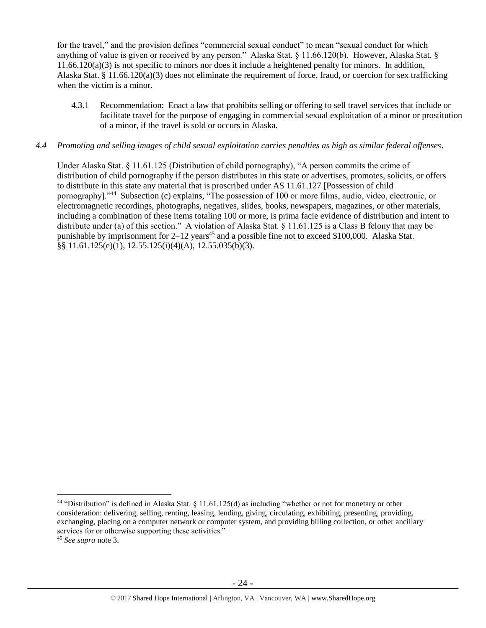for the travel," and the provision defines "commercial sexual conduct" to mean "sexual conduct for which anything of value is given or received by any person." Alaska Stat. § 11.66.120(b). However, Alaska Stat. § 11.66.120(a)(3) is not specific to minors nor does it include a heightened penalty for minors. In addition, Alaska Stat. § 11.66.120(a)(3) does not eliminate the requirement of force, fraud, or coercion for sex trafficking when the victim is a minor.

4.3.1 Recommendation: Enact a law that prohibits selling or offering to sell travel services that include or facilitate travel for the purpose of engaging in commercial sexual exploitation of a minor or prostitution of a minor, if the travel is sold or occurs in Alaska.

## *4.4 Promoting and selling images of child sexual exploitation carries penalties as high as similar federal offenses*.

Under Alaska Stat. § 11.61.125 (Distribution of child pornography), "A person commits the crime of distribution of child pornography if the person distributes in this state or advertises, promotes, solicits, or offers to distribute in this state any material that is proscribed under AS 11.61.127 [Possession of child pornography]."<sup>44</sup> Subsection (c) explains, "The possession of 100 or more films, audio, video, electronic, or electromagnetic recordings, photographs, negatives, slides, books, newspapers, magazines, or other materials, including a combination of these items totaling 100 or more, is prima facie evidence of distribution and intent to distribute under (a) of this section." A violation of Alaska Stat. § 11.61.125 is a Class B felony that may be punishable by imprisonment for  $2-12$  years<sup>45</sup> and a possible fine not to exceed \$100,000. Alaska Stat. §§ 11.61.125(e)(1), 12.55.125(i)(4)(A), 12.55.035(b)(3).

<sup>44</sup> "Distribution" is defined in Alaska Stat. § 11.61.125(d) as including "whether or not for monetary or other consideration: delivering, selling, renting, leasing, lending, giving, circulating, exhibiting, presenting, providing, exchanging, placing on a computer network or computer system, and providing billing collection, or other ancillary services for or otherwise supporting these activities."

<sup>45</sup> *See supra* note [3.](#page-1-0)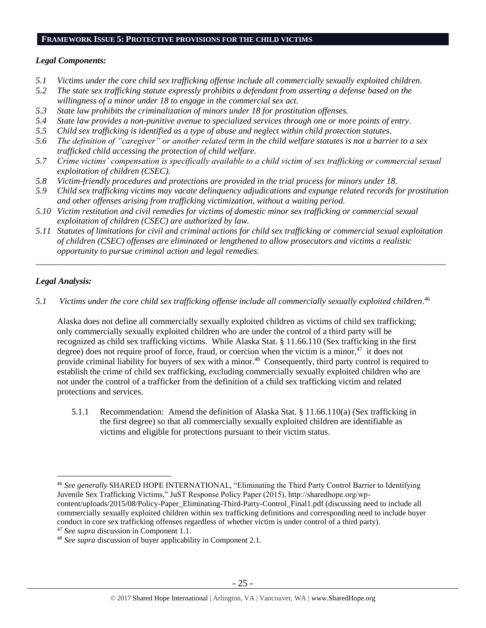# **FRAMEWORK ISSUE 5: PROTECTIVE PROVISIONS FOR THE CHILD VICTIMS**

## *Legal Components:*

- *5.1 Victims under the core child sex trafficking offense include all commercially sexually exploited children.*
- *5.2 The state sex trafficking statute expressly prohibits a defendant from asserting a defense based on the willingness of a minor under 18 to engage in the commercial sex act.*
- *5.3 State law prohibits the criminalization of minors under 18 for prostitution offenses.*
- *5.4 State law provides a non-punitive avenue to specialized services through one or more points of entry.*
- *5.5 Child sex trafficking is identified as a type of abuse and neglect within child protection statutes.*
- *5.6 The definition of "caregiver" or another related term in the child welfare statutes is not a barrier to a sex trafficked child accessing the protection of child welfare.*
- *5.7 Crime victims' compensation is specifically available to a child victim of sex trafficking or commercial sexual exploitation of children (CSEC).*
- *5.8 Victim-friendly procedures and protections are provided in the trial process for minors under 18.*
- *5.9 Child sex trafficking victims may vacate delinquency adjudications and expunge related records for prostitution and other offenses arising from trafficking victimization, without a waiting period.*
- *5.10 Victim restitution and civil remedies for victims of domestic minor sex trafficking or commercial sexual exploitation of children (CSEC) are authorized by law.*
- *5.11 Statutes of limitations for civil and criminal actions for child sex trafficking or commercial sexual exploitation of children (CSEC) offenses are eliminated or lengthened to allow prosecutors and victims a realistic opportunity to pursue criminal action and legal remedies.*

*\_\_\_\_\_\_\_\_\_\_\_\_\_\_\_\_\_\_\_\_\_\_\_\_\_\_\_\_\_\_\_\_\_\_\_\_\_\_\_\_\_\_\_\_\_\_\_\_\_\_\_\_\_\_\_\_\_\_\_\_\_\_\_\_\_\_\_\_\_\_\_\_\_\_\_\_\_\_\_\_\_\_\_\_\_\_\_\_\_\_\_\_\_\_*

# *Legal Analysis:*

*5.1 Victims under the core child sex trafficking offense include all commercially sexually exploited children.* 46

Alaska does not define all commercially sexually exploited children as victims of child sex trafficking; only commercially sexually exploited children who are under the control of a third party will be recognized as child sex trafficking victims. While Alaska Stat. § 11.66.110 (Sex trafficking in the first degree) does not require proof of force, fraud, or coercion when the victim is a minor, $47$  it does not provide criminal liability for buyers of sex with a minor.<sup>48</sup> Consequently, third party control is required to establish the crime of child sex trafficking, excluding commercially sexually exploited children who are not under the control of a trafficker from the definition of a child sex trafficking victim and related protections and services.

5.1.1 Recommendation: Amend the definition of Alaska Stat. § 11.66.110(a) (Sex trafficking in the first degree) so that all commercially sexually exploited children are identifiable as victims and eligible for protections pursuant to their victim status.

 $\overline{a}$ <sup>46</sup> *See generally* SHARED HOPE INTERNATIONAL, "Eliminating the Third Party Control Barrier to Identifying Juvenile Sex Trafficking Victims," JuST Response Policy Paper (2015), http://sharedhope.org/wpcontent/uploads/2015/08/Policy-Paper\_Eliminating-Third-Party-Control\_Final1.pdf (discussing need to include all commercially sexually exploited children within sex trafficking definitions and corresponding need to include buyer conduct in core sex trafficking offenses regardless of whether victim is under control of a third party).

<sup>47</sup> *See supra* discussion in Component 1.1.

<sup>48</sup> *See supra* discussion of buyer applicability in Component 2.1.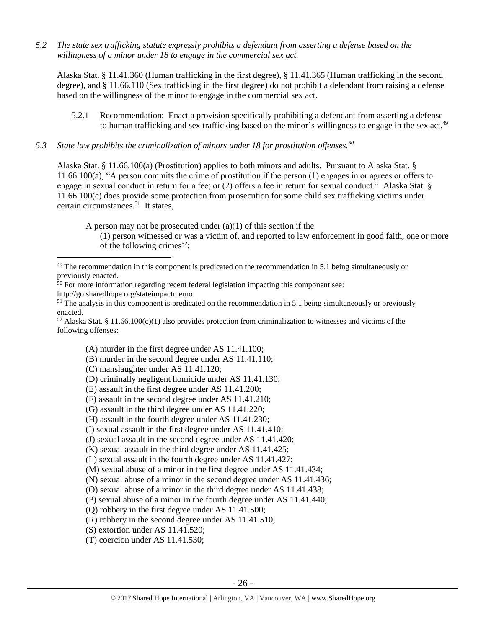*5.2 The state sex trafficking statute expressly prohibits a defendant from asserting a defense based on the willingness of a minor under 18 to engage in the commercial sex act.*

Alaska Stat. § 11.41.360 (Human trafficking in the first degree), § 11.41.365 (Human trafficking in the second degree), and § 11.66.110 (Sex trafficking in the first degree) do not prohibit a defendant from raising a defense based on the willingness of the minor to engage in the commercial sex act.

- 5.2.1 Recommendation: Enact a provision specifically prohibiting a defendant from asserting a defense to human trafficking and sex trafficking based on the minor's willingness to engage in the sex act.<sup>49</sup>
- *5.3 State law prohibits the criminalization of minors under 18 for prostitution offenses.<sup>50</sup>*

Alaska Stat. § 11.66.100(a) (Prostitution) applies to both minors and adults. Pursuant to Alaska Stat. § 11.66.100(a), "A person commits the crime of prostitution if the person (1) engages in or agrees or offers to engage in sexual conduct in return for a fee; or (2) offers a fee in return for sexual conduct." Alaska Stat. § 11.66.100(c) does provide some protection from prosecution for some child sex trafficking victims under certain circumstances.<sup>51</sup> It states,

A person may not be prosecuted under  $(a)(1)$  of this section if the

(1) person witnessed or was a victim of, and reported to law enforcement in good faith, one or more of the following crimes<sup>52</sup>:

<sup>51</sup> The analysis in this component is predicated on the recommendation in 5.1 being simultaneously or previously enacted.

 $52$  Alaska Stat. § 11.66.100(c)(1) also provides protection from criminalization to witnesses and victims of the following offenses:

(A) murder in the first degree under AS 11.41.100;

(B) murder in the second degree under AS 11.41.110;

(C) manslaughter under AS 11.41.120;

 $\overline{a}$ 

- (D) criminally negligent homicide under AS 11.41.130;
- (E) assault in the first degree under AS 11.41.200;
- (F) assault in the second degree under AS 11.41.210;
- (G) assault in the third degree under AS 11.41.220;
- (H) assault in the fourth degree under AS 11.41.230;
- (I) sexual assault in the first degree under AS 11.41.410;
- (J) sexual assault in the second degree under AS 11.41.420;

(K) sexual assault in the third degree under AS 11.41.425;

(L) sexual assault in the fourth degree under AS 11.41.427;

(M) sexual abuse of a minor in the first degree under AS 11.41.434;

(N) sexual abuse of a minor in the second degree under AS 11.41.436;

(O) sexual abuse of a minor in the third degree under AS 11.41.438;

(P) sexual abuse of a minor in the fourth degree under AS 11.41.440;

(Q) robbery in the first degree under AS 11.41.500;

(R) robbery in the second degree under AS 11.41.510;

(S) extortion under AS 11.41.520;

(T) coercion under AS 11.41.530;

 $49$  The recommendation in this component is predicated on the recommendation in 5.1 being simultaneously or previously enacted.

 $50$  For more information regarding recent federal legislation impacting this component see: http://go.sharedhope.org/stateimpactmemo.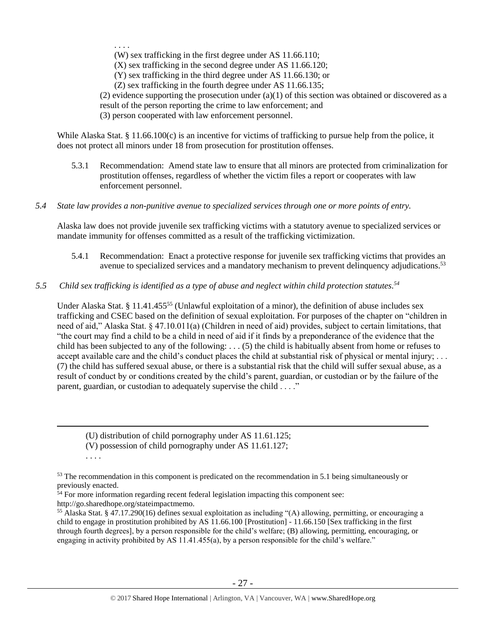. . . .

(W) sex trafficking in the first degree under AS 11.66.110;

(X) sex trafficking in the second degree under AS 11.66.120;

(Y) sex trafficking in the third degree under AS 11.66.130; or

(Z) sex trafficking in the fourth degree under AS 11.66.135;

(2) evidence supporting the prosecution under  $(a)(1)$  of this section was obtained or discovered as a result of the person reporting the crime to law enforcement; and

(3) person cooperated with law enforcement personnel.

While Alaska Stat. § 11.66.100(c) is an incentive for victims of trafficking to pursue help from the police, it does not protect all minors under 18 from prosecution for prostitution offenses.

- 5.3.1 Recommendation: Amend state law to ensure that all minors are protected from criminalization for prostitution offenses, regardless of whether the victim files a report or cooperates with law enforcement personnel.
- *5.4 State law provides a non-punitive avenue to specialized services through one or more points of entry.*

Alaska law does not provide juvenile sex trafficking victims with a statutory avenue to specialized services or mandate immunity for offenses committed as a result of the trafficking victimization.

- 5.4.1 Recommendation: Enact a protective response for juvenile sex trafficking victims that provides an avenue to specialized services and a mandatory mechanism to prevent delinquency adjudications.<sup>53</sup>
- *5.5 Child sex trafficking is identified as a type of abuse and neglect within child protection statutes. 54*

Under Alaska Stat. § 11.41.455<sup>55</sup> (Unlawful exploitation of a minor), the definition of abuse includes sex trafficking and CSEC based on the definition of sexual exploitation. For purposes of the chapter on "children in need of aid," Alaska Stat. § 47.10.011(a) (Children in need of aid) provides, subject to certain limitations, that "the court may find a child to be a child in need of aid if it finds by a preponderance of the evidence that the child has been subjected to any of the following: . . . (5) the child is habitually absent from home or refuses to accept available care and the child's conduct places the child at substantial risk of physical or mental injury; ... (7) the child has suffered sexual abuse, or there is a substantial risk that the child will suffer sexual abuse, as a result of conduct by or conditions created by the child's parent, guardian, or custodian or by the failure of the parent, guardian, or custodian to adequately supervise the child . . . ."

(U) distribution of child pornography under AS 11.61.125;

(V) possession of child pornography under AS 11.61.127;

. . . .

 $\overline{a}$ 

<sup>54</sup> For more information regarding recent federal legislation impacting this component see: http://go.sharedhope.org/stateimpactmemo.

<sup>&</sup>lt;sup>53</sup> The recommendation in this component is predicated on the recommendation in 5.1 being simultaneously or previously enacted.

<sup>55</sup> Alaska Stat. § 47.17.290(16) defines sexual exploitation as including "(A) allowing, permitting, or encouraging a child to engage in prostitution prohibited by AS 11.66.100 [Prostitution] - 11.66.150 [Sex trafficking in the first through fourth degrees], by a person responsible for the child's welfare; (B) allowing, permitting, encouraging, or engaging in activity prohibited by AS 11.41.455(a), by a person responsible for the child's welfare."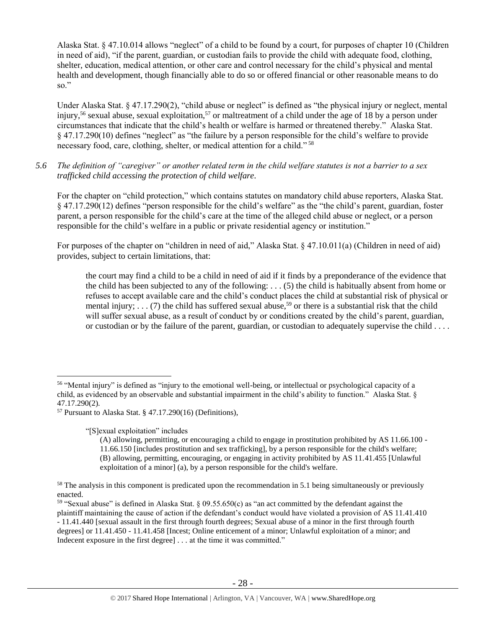Alaska Stat. § 47.10.014 allows "neglect" of a child to be found by a court, for purposes of chapter 10 (Children in need of aid), "if the parent, guardian, or custodian fails to provide the child with adequate food, clothing, shelter, education, medical attention, or other care and control necessary for the child's physical and mental health and development, though financially able to do so or offered financial or other reasonable means to do so."

Under Alaska Stat. § 47.17.290(2), "child abuse or neglect" is defined as "the physical injury or neglect, mental injury,<sup>56</sup> sexual abuse, sexual exploitation,<sup>57</sup> or maltreatment of a child under the age of 18 by a person under circumstances that indicate that the child's health or welfare is harmed or threatened thereby." Alaska Stat. § 47.17.290(10) defines "neglect" as "the failure by a person responsible for the child's welfare to provide necessary food, care, clothing, shelter, or medical attention for a child."<sup>58</sup>

*5.6 The definition of "caregiver" or another related term in the child welfare statutes is not a barrier to a sex trafficked child accessing the protection of child welfare.*

For the chapter on "child protection," which contains statutes on mandatory child abuse reporters, Alaska Stat. § 47.17.290(12) defines "person responsible for the child's welfare" as the "the child's parent, guardian, foster parent, a person responsible for the child's care at the time of the alleged child abuse or neglect, or a person responsible for the child's welfare in a public or private residential agency or institution."

For purposes of the chapter on "children in need of aid," Alaska Stat. § 47.10.011(a) (Children in need of aid) provides, subject to certain limitations, that:

<span id="page-27-0"></span>the court may find a child to be a child in need of aid if it finds by a preponderance of the evidence that the child has been subjected to any of the following: . . . (5) the child is habitually absent from home or refuses to accept available care and the child's conduct places the child at substantial risk of physical or mental injury;  $\ldots$  (7) the child has suffered sexual abuse,<sup>59</sup> or there is a substantial risk that the child will suffer sexual abuse, as a result of conduct by or conditions created by the child's parent, guardian, or custodian or by the failure of the parent, guardian, or custodian to adequately supervise the child . . . .

"[S]exual exploitation" includes

<sup>56</sup> "Mental injury" is defined as "injury to the emotional well-being, or intellectual or psychological capacity of a child, as evidenced by an observable and substantial impairment in the child's ability to function." Alaska Stat. § 47.17.290(2).

 $57$  Pursuant to Alaska Stat. § 47.17.290(16) (Definitions),

<sup>(</sup>A) allowing, permitting, or encouraging a child to engage in prostitution prohibited by AS 11.66.100 - 11.66.150 [includes prostitution and sex trafficking], by a person responsible for the child's welfare; (B) allowing, permitting, encouraging, or engaging in activity prohibited by AS 11.41.455 [Unlawful exploitation of a minor] (a), by a person responsible for the child's welfare.

<sup>&</sup>lt;sup>58</sup> The analysis in this component is predicated upon the recommendation in 5.1 being simultaneously or previously enacted.

<sup>59</sup> "Sexual abuse" is defined in Alaska Stat. § 09.55.650(c) as "an act committed by the defendant against the plaintiff maintaining the cause of action if the defendant's conduct would have violated a provision of AS 11.41.410 - 11.41.440 [sexual assault in the first through fourth degrees; Sexual abuse of a minor in the first through fourth degrees] or 11.41.450 - 11.41.458 [Incest; Online enticement of a minor; Unlawful exploitation of a minor; and Indecent exposure in the first degree] . . . at the time it was committed."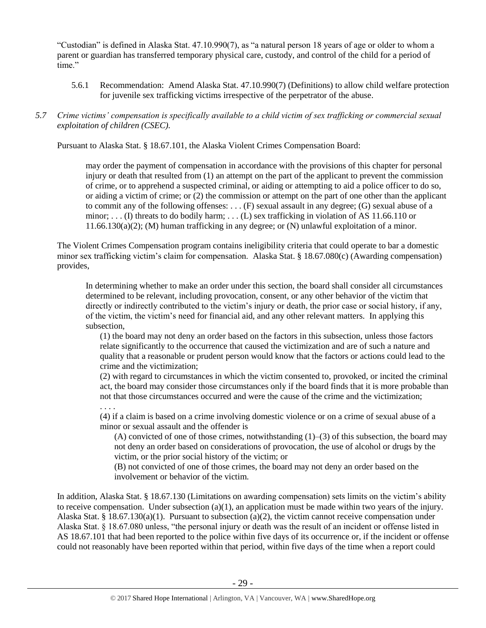"Custodian" is defined in Alaska Stat. 47.10.990(7), as "a natural person 18 years of age or older to whom a parent or guardian has transferred temporary physical care, custody, and control of the child for a period of time."

- 5.6.1 Recommendation: Amend Alaska Stat. 47.10.990(7) (Definitions) to allow child welfare protection for juvenile sex trafficking victims irrespective of the perpetrator of the abuse.
- *5.7 Crime victims' compensation is specifically available to a child victim of sex trafficking or commercial sexual exploitation of children (CSEC).*

Pursuant to Alaska Stat. § 18.67.101, the Alaska Violent Crimes Compensation Board:

may order the payment of compensation in accordance with the provisions of this chapter for personal injury or death that resulted from (1) an attempt on the part of the applicant to prevent the commission of crime, or to apprehend a suspected criminal, or aiding or attempting to aid a police officer to do so, or aiding a victim of crime; or (2) the commission or attempt on the part of one other than the applicant to commit any of the following offenses: . . . (F) sexual assault in any degree; (G) sexual abuse of a minor; ... (I) threats to do bodily harm; ... (L) sex trafficking in violation of AS 11.66.110 or 11.66.130(a)(2); (M) human trafficking in any degree; or (N) unlawful exploitation of a minor.

The Violent Crimes Compensation program contains ineligibility criteria that could operate to bar a domestic minor sex trafficking victim's claim for compensation. Alaska Stat. § 18.67.080(c) (Awarding compensation) provides,

In determining whether to make an order under this section, the board shall consider all circumstances determined to be relevant, including provocation, consent, or any other behavior of the victim that directly or indirectly contributed to the victim's injury or death, the prior case or social history, if any, of the victim, the victim's need for financial aid, and any other relevant matters. In applying this subsection,

(1) the board may not deny an order based on the factors in this subsection, unless those factors relate significantly to the occurrence that caused the victimization and are of such a nature and quality that a reasonable or prudent person would know that the factors or actions could lead to the crime and the victimization;

(2) with regard to circumstances in which the victim consented to, provoked, or incited the criminal act, the board may consider those circumstances only if the board finds that it is more probable than not that those circumstances occurred and were the cause of the crime and the victimization; . . . .

(4) if a claim is based on a crime involving domestic violence or on a crime of sexual abuse of a minor or sexual assault and the offender is

(A) convicted of one of those crimes, notwithstanding  $(1)$ –(3) of this subsection, the board may not deny an order based on considerations of provocation, the use of alcohol or drugs by the victim, or the prior social history of the victim; or

(B) not convicted of one of those crimes, the board may not deny an order based on the involvement or behavior of the victim.

In addition, Alaska Stat. § 18.67.130 (Limitations on awarding compensation) sets limits on the victim's ability to receive compensation. Under subsection  $(a)(1)$ , an application must be made within two years of the injury. Alaska Stat. § 18.67.130(a)(1). Pursuant to subsection (a)(2), the victim cannot receive compensation under Alaska Stat. § 18.67.080 unless, "the personal injury or death was the result of an incident or offense listed in AS 18.67.101 that had been reported to the police within five days of its occurrence or, if the incident or offense could not reasonably have been reported within that period, within five days of the time when a report could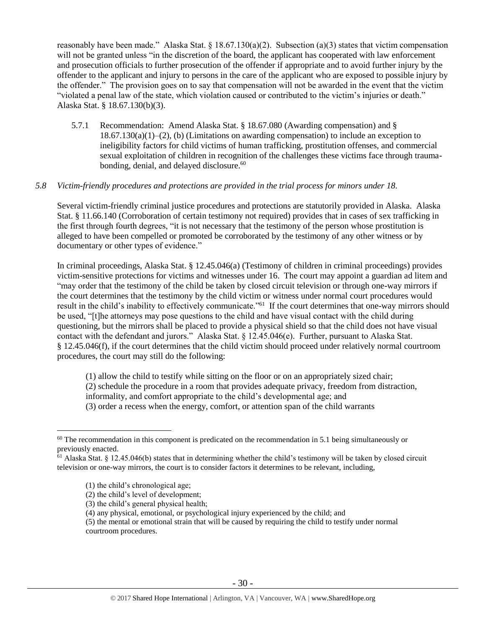reasonably have been made." Alaska Stat. § 18.67.130(a)(2). Subsection (a)(3) states that victim compensation will not be granted unless "in the discretion of the board, the applicant has cooperated with law enforcement and prosecution officials to further prosecution of the offender if appropriate and to avoid further injury by the offender to the applicant and injury to persons in the care of the applicant who are exposed to possible injury by the offender." The provision goes on to say that compensation will not be awarded in the event that the victim "violated a penal law of the state, which violation caused or contributed to the victim's injuries or death." Alaska Stat. § 18.67.130(b)(3).

5.7.1 Recommendation: Amend Alaska Stat. § 18.67.080 (Awarding compensation) and §  $18.67.130(a)(1)–(2)$ , (b) (Limitations on awarding compensation) to include an exception to ineligibility factors for child victims of human trafficking, prostitution offenses, and commercial sexual exploitation of children in recognition of the challenges these victims face through traumabonding, denial, and delayed disclosure.<sup>60</sup>

#### *5.8 Victim-friendly procedures and protections are provided in the trial process for minors under 18.*

Several victim-friendly criminal justice procedures and protections are statutorily provided in Alaska. Alaska Stat. § 11.66.140 (Corroboration of certain testimony not required) provides that in cases of sex trafficking in the first through fourth degrees, "it is not necessary that the testimony of the person whose prostitution is alleged to have been compelled or promoted be corroborated by the testimony of any other witness or by documentary or other types of evidence."

In criminal proceedings, Alaska Stat. § 12.45.046(a) (Testimony of children in criminal proceedings) provides victim-sensitive protections for victims and witnesses under 16. The court may appoint a guardian ad litem and "may order that the testimony of the child be taken by closed circuit television or through one-way mirrors if the court determines that the testimony by the child victim or witness under normal court procedures would result in the child's inability to effectively communicate."<sup>61</sup> If the court determines that one-way mirrors should be used, "[t]he attorneys may pose questions to the child and have visual contact with the child during questioning, but the mirrors shall be placed to provide a physical shield so that the child does not have visual contact with the defendant and jurors." Alaska Stat. § 12.45.046(e). Further, pursuant to Alaska Stat. § 12.45.046(f), if the court determines that the child victim should proceed under relatively normal courtroom procedures, the court may still do the following:

(1) allow the child to testify while sitting on the floor or on an appropriately sized chair;

(2) schedule the procedure in a room that provides adequate privacy, freedom from distraction,

informality, and comfort appropriate to the child's developmental age; and

(3) order a recess when the energy, comfort, or attention span of the child warrants

 $\overline{a}$ 

(3) the child's general physical health;

<sup>&</sup>lt;sup>60</sup> The recommendation in this component is predicated on the recommendation in 5.1 being simultaneously or previously enacted.

 $61$  Alaska Stat. § 12.45.046(b) states that in determining whether the child's testimony will be taken by closed circuit television or one-way mirrors, the court is to consider factors it determines to be relevant, including,

<sup>(1)</sup> the child's chronological age;

<sup>(2)</sup> the child's level of development;

<sup>(4)</sup> any physical, emotional, or psychological injury experienced by the child; and

<sup>(5)</sup> the mental or emotional strain that will be caused by requiring the child to testify under normal courtroom procedures.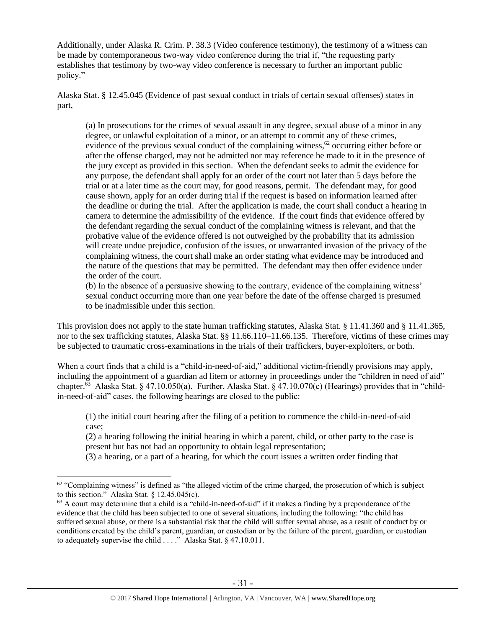Additionally, under Alaska R. Crim. P. 38.3 (Video conference testimony), the testimony of a witness can be made by contemporaneous two-way video conference during the trial if, "the requesting party establishes that testimony by two-way video conference is necessary to further an important public policy."

Alaska Stat. § 12.45.045 (Evidence of past sexual conduct in trials of certain sexual offenses) states in part,

(a) In prosecutions for the crimes of sexual assault in any degree, sexual abuse of a minor in any degree, or unlawful exploitation of a minor, or an attempt to commit any of these crimes, evidence of the previous sexual conduct of the complaining witness,<sup>62</sup> occurring either before or after the offense charged, may not be admitted nor may reference be made to it in the presence of the jury except as provided in this section. When the defendant seeks to admit the evidence for any purpose, the defendant shall apply for an order of the court not later than 5 days before the trial or at a later time as the court may, for good reasons, permit. The defendant may, for good cause shown, apply for an order during trial if the request is based on information learned after the deadline or during the trial. After the application is made, the court shall conduct a hearing in camera to determine the admissibility of the evidence. If the court finds that evidence offered by the defendant regarding the sexual conduct of the complaining witness is relevant, and that the probative value of the evidence offered is not outweighed by the probability that its admission will create undue prejudice, confusion of the issues, or unwarranted invasion of the privacy of the complaining witness, the court shall make an order stating what evidence may be introduced and the nature of the questions that may be permitted. The defendant may then offer evidence under the order of the court.

(b) In the absence of a persuasive showing to the contrary, evidence of the complaining witness' sexual conduct occurring more than one year before the date of the offense charged is presumed to be inadmissible under this section.

This provision does not apply to the state human trafficking statutes, Alaska Stat. § 11.41.360 and § 11.41.365, nor to the sex trafficking statutes, Alaska Stat. §§ 11.66.110–11.66.135. Therefore, victims of these crimes may be subjected to traumatic cross-examinations in the trials of their traffickers, buyer-exploiters, or both.

When a court finds that a child is a "child-in-need-of-aid," additional victim-friendly provisions may apply, including the appointment of a guardian ad litem or attorney in proceedings under the "children in need of aid" chapter.<sup>63</sup> Alaska Stat. § 47.10.050(a). Further, Alaska Stat. § 47.10.070(c) (Hearings) provides that in "childin-need-of-aid" cases, the following hearings are closed to the public:

(1) the initial court hearing after the filing of a petition to commence the child-in-need-of-aid case;

(2) a hearing following the initial hearing in which a parent, child, or other party to the case is present but has not had an opportunity to obtain legal representation;

(3) a hearing, or a part of a hearing, for which the court issues a written order finding that

 $62$  "Complaining witness" is defined as "the alleged victim of the crime charged, the prosecution of which is subject to this section." Alaska Stat. § 12.45.045(c).

 $63$  A court may determine that a child is a "child-in-need-of-aid" if it makes a finding by a preponderance of the evidence that the child has been subjected to one of several situations, including the following: "the child has suffered sexual abuse, or there is a substantial risk that the child will suffer sexual abuse, as a result of conduct by or conditions created by the child's parent, guardian, or custodian or by the failure of the parent, guardian, or custodian to adequately supervise the child . . . ." Alaska Stat. § 47.10.011.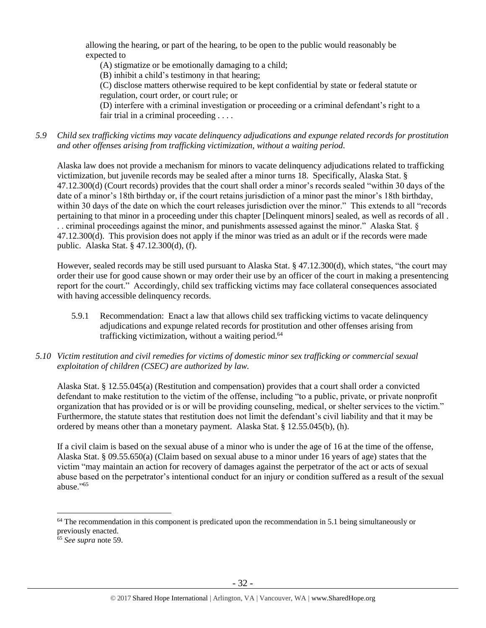allowing the hearing, or part of the hearing, to be open to the public would reasonably be expected to

(A) stigmatize or be emotionally damaging to a child;

(B) inhibit a child's testimony in that hearing;

(C) disclose matters otherwise required to be kept confidential by state or federal statute or regulation, court order, or court rule; or

(D) interfere with a criminal investigation or proceeding or a criminal defendant's right to a fair trial in a criminal proceeding . . . .

*5.9 Child sex trafficking victims may vacate delinquency adjudications and expunge related records for prostitution and other offenses arising from trafficking victimization, without a waiting period.*

Alaska law does not provide a mechanism for minors to vacate delinquency adjudications related to trafficking victimization, but juvenile records may be sealed after a minor turns 18. Specifically, Alaska Stat. § 47.12.300(d) (Court records) provides that the court shall order a minor's records sealed "within 30 days of the date of a minor's 18th birthday or, if the court retains jurisdiction of a minor past the minor's 18th birthday, within 30 days of the date on which the court releases jurisdiction over the minor." This extends to all "records pertaining to that minor in a proceeding under this chapter [Delinquent minors] sealed, as well as records of all . . . criminal proceedings against the minor, and punishments assessed against the minor." Alaska Stat. § 47.12.300(d). This provision does not apply if the minor was tried as an adult or if the records were made public. Alaska Stat. § 47.12.300(d), (f).

However, sealed records may be still used pursuant to Alaska Stat. § 47.12.300(d), which states, "the court may order their use for good cause shown or may order their use by an officer of the court in making a presentencing report for the court." Accordingly, child sex trafficking victims may face collateral consequences associated with having accessible delinquency records.

- 5.9.1 Recommendation: Enact a law that allows child sex trafficking victims to vacate delinquency adjudications and expunge related records for prostitution and other offenses arising from trafficking victimization, without a waiting period.<sup>64</sup>
- *5.10 Victim restitution and civil remedies for victims of domestic minor sex trafficking or commercial sexual exploitation of children (CSEC) are authorized by law.*

Alaska Stat. § 12.55.045(a) (Restitution and compensation) provides that a court shall order a convicted defendant to make restitution to the victim of the offense, including "to a public, private, or private nonprofit organization that has provided or is or will be providing counseling, medical, or shelter services to the victim." Furthermore, the statute states that restitution does not limit the defendant's civil liability and that it may be ordered by means other than a monetary payment. Alaska Stat. § 12.55.045(b), (h).

If a civil claim is based on the sexual abuse of a minor who is under the age of 16 at the time of the offense, Alaska Stat. § 09.55.650(a) (Claim based on sexual abuse to a minor under 16 years of age) states that the victim "may maintain an action for recovery of damages against the perpetrator of the act or acts of sexual abuse based on the perpetrator's intentional conduct for an injury or condition suffered as a result of the sexual abuse."<sup>65</sup>

<sup>&</sup>lt;sup>64</sup> The recommendation in this component is predicated upon the recommendation in 5.1 being simultaneously or previously enacted.

<sup>65</sup> *See supra* note [59.](#page-27-0)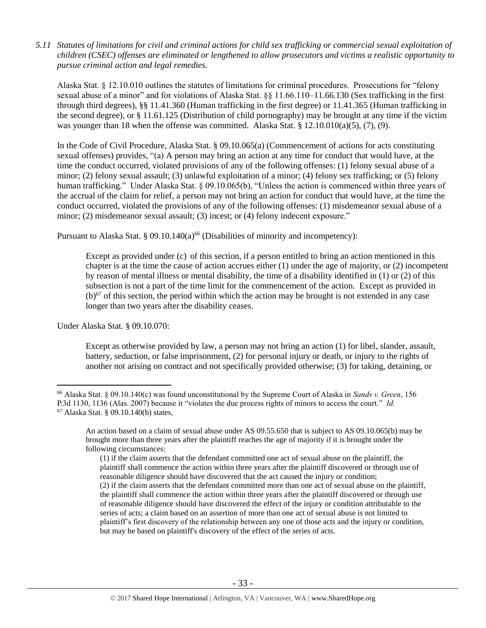*5.11 Statutes of limitations for civil and criminal actions for child sex trafficking or commercial sexual exploitation of children (CSEC) offenses are eliminated or lengthened to allow prosecutors and victims a realistic opportunity to pursue criminal action and legal remedies.*

Alaska Stat. § 12.10.010 outlines the statutes of limitations for criminal procedures. Prosecutions for "felony sexual abuse of a minor" and for violations of Alaska Stat. §§ 11.66.110–11.66.130 (Sex trafficking in the first through third degrees), §§ 11.41.360 (Human trafficking in the first degree) or 11.41.365 (Human trafficking in the second degree), or § 11.61.125 (Distribution of child pornography) may be brought at any time if the victim was younger than 18 when the offense was committed. Alaska Stat. §  $12.10.010(a)(5)$ ,  $(7)$ ,  $(9)$ .

In the Code of Civil Procedure, Alaska Stat. § 09.10.065(a) (Commencement of actions for acts constituting sexual offenses) provides, "(a) A person may bring an action at any time for conduct that would have, at the time the conduct occurred, violated provisions of any of the following offenses: (1) felony sexual abuse of a minor; (2) felony sexual assault; (3) unlawful exploitation of a minor; (4) felony sex trafficking; or (5) felony human trafficking." Under Alaska Stat. § 09.10.065(b), "Unless the action is commenced within three years of the accrual of the claim for relief, a person may not bring an action for conduct that would have, at the time the conduct occurred, violated the provisions of any of the following offenses: (1) misdemeanor sexual abuse of a minor; (2) misdemeanor sexual assault; (3) incest; or (4) felony indecent exposure."

Pursuant to Alaska Stat. § 09.10.140(a)<sup>66</sup> (Disabilities of minority and incompetency):

Except as provided under (c) of this section, if a person entitled to bring an action mentioned in this chapter is at the time the cause of action accrues either (1) under the age of majority, or (2) incompetent by reason of mental illness or mental disability, the time of a disability identified in (1) or (2) of this subsection is not a part of the time limit for the commencement of the action. Except as provided in  $(b)$ <sup>67</sup> of this section, the period within which the action may be brought is not extended in any case longer than two years after the disability ceases.

Under Alaska Stat. § 09.10.070:

Except as otherwise provided by law, a person may not bring an action (1) for libel, slander, assault, battery, seduction, or false imprisonment, (2) for personal injury or death, or injury to the rights of another not arising on contract and not specifically provided otherwise; (3) for taking, detaining, or

 $\overline{a}$ <sup>66</sup> Alaska Stat. § 09.10.140(c) was found unconstitutional by the Supreme Court of Alaska in *Sands v. Green*, 156 P.3d 1130, 1136 (Alas. 2007) because it "violates the due process rights of minors to access the court." *Id.* <sup>67</sup> Alaska Stat. § 09.10.140(b) states,

An action based on a claim of sexual abuse under AS 09.55.650 that is subject to AS 09.10.065(b) may be brought more than three years after the plaintiff reaches the age of majority if it is brought under the following circumstances:

<sup>(1)</sup> if the claim asserts that the defendant committed one act of sexual abuse on the plaintiff, the plaintiff shall commence the action within three years after the plaintiff discovered or through use of reasonable diligence should have discovered that the act caused the injury or condition; (2) if the claim asserts that the defendant committed more than one act of sexual abuse on the plaintiff, the plaintiff shall commence the action within three years after the plaintiff discovered or through use of reasonable diligence should have discovered the effect of the injury or condition attributable to the series of acts; a claim based on an assertion of more than one act of sexual abuse is not limited to plaintiff's first discovery of the relationship between any one of those acts and the injury or condition, but may be based on plaintiff's discovery of the effect of the series of acts.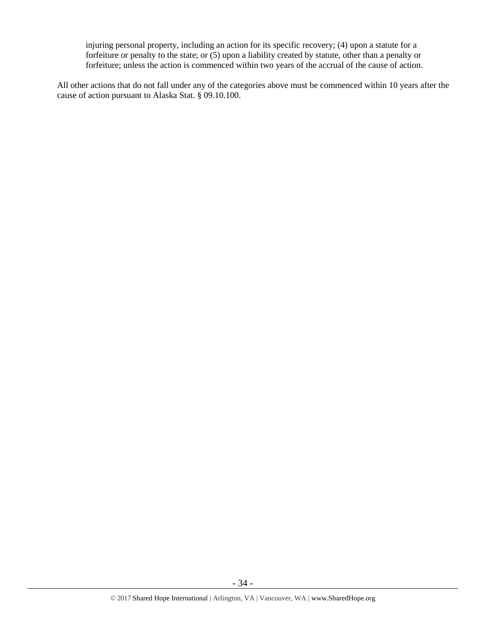injuring personal property, including an action for its specific recovery; (4) upon a statute for a forfeiture or penalty to the state; or (5) upon a liability created by statute, other than a penalty or forfeiture; unless the action is commenced within two years of the accrual of the cause of action.

All other actions that do not fall under any of the categories above must be commenced within 10 years after the cause of action pursuant to Alaska Stat. § 09.10.100.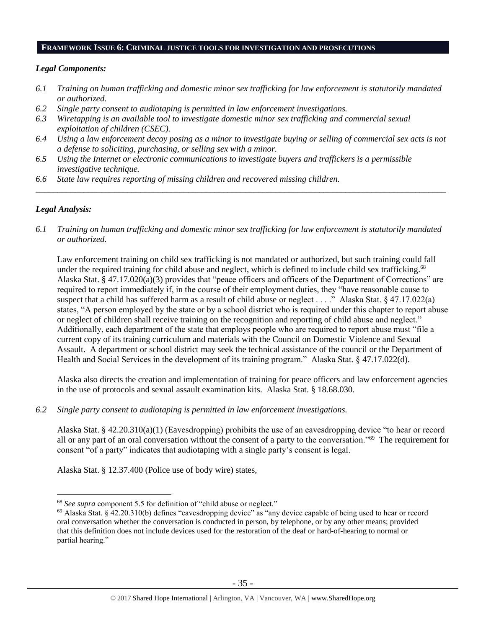#### **FRAMEWORK ISSUE 6: CRIMINAL JUSTICE TOOLS FOR INVESTIGATION AND PROSECUTIONS**

#### *Legal Components:*

- *6.1 Training on human trafficking and domestic minor sex trafficking for law enforcement is statutorily mandated or authorized.*
- *6.2 Single party consent to audiotaping is permitted in law enforcement investigations.*
- *6.3 Wiretapping is an available tool to investigate domestic minor sex trafficking and commercial sexual exploitation of children (CSEC).*
- *6.4 Using a law enforcement decoy posing as a minor to investigate buying or selling of commercial sex acts is not a defense to soliciting, purchasing, or selling sex with a minor.*

*\_\_\_\_\_\_\_\_\_\_\_\_\_\_\_\_\_\_\_\_\_\_\_\_\_\_\_\_\_\_\_\_\_\_\_\_\_\_\_\_\_\_\_\_\_\_\_\_\_\_\_\_\_\_\_\_\_\_\_\_\_\_\_\_\_\_\_\_\_\_\_\_\_\_\_\_\_\_\_\_\_\_\_\_\_\_\_\_\_\_\_\_\_\_*

- *6.5 Using the Internet or electronic communications to investigate buyers and traffickers is a permissible investigative technique.*
- *6.6 State law requires reporting of missing children and recovered missing children.*

## *Legal Analysis:*

 $\overline{a}$ 

*6.1 Training on human trafficking and domestic minor sex trafficking for law enforcement is statutorily mandated or authorized.*

Law enforcement training on child sex trafficking is not mandated or authorized, but such training could fall under the required training for child abuse and neglect, which is defined to include child sex trafficking.<sup>68</sup> Alaska Stat. § 47.17.020(a)(3) provides that "peace officers and officers of the Department of Corrections" are required to report immediately if, in the course of their employment duties, they "have reasonable cause to suspect that a child has suffered harm as a result of child abuse or neglect . . . ." Alaska Stat. § 47.17.022(a) states, "A person employed by the state or by a school district who is required under this chapter to report abuse or neglect of children shall receive training on the recognition and reporting of child abuse and neglect." Additionally, each department of the state that employs people who are required to report abuse must "file a current copy of its training curriculum and materials with the Council on Domestic Violence and Sexual Assault. A department or school district may seek the technical assistance of the council or the Department of Health and Social Services in the development of its training program." Alaska Stat. § 47.17.022(d).

Alaska also directs the creation and implementation of training for peace officers and law enforcement agencies in the use of protocols and sexual assault examination kits. Alaska Stat. § 18.68.030.

*6.2 Single party consent to audiotaping is permitted in law enforcement investigations.*

Alaska Stat. § 42.20.310(a)(1) (Eavesdropping) prohibits the use of an eavesdropping device "to hear or record all or any part of an oral conversation without the consent of a party to the conversation."<sup>69</sup> The requirement for consent "of a party" indicates that audiotaping with a single party's consent is legal.

Alaska Stat. § 12.37.400 (Police use of body wire) states,

<sup>68</sup> *See supra* component 5.5 for definition of "child abuse or neglect."

 $^{69}$  Alaska Stat. § 42.20.310(b) defines "eavesdropping device" as "any device capable of being used to hear or record oral conversation whether the conversation is conducted in person, by telephone, or by any other means; provided that this definition does not include devices used for the restoration of the deaf or hard-of-hearing to normal or partial hearing."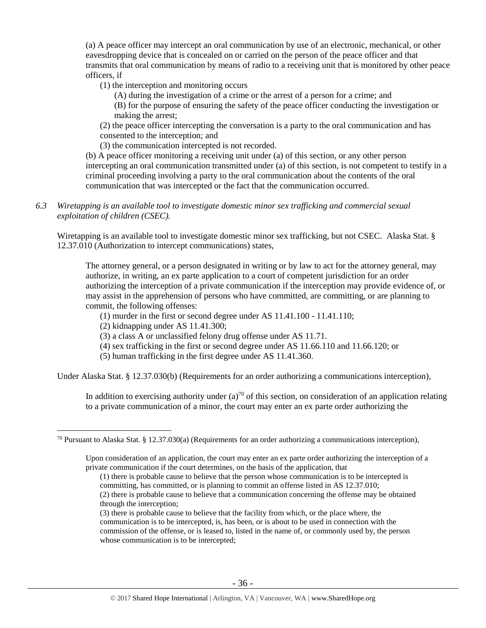(a) A peace officer may intercept an oral communication by use of an electronic, mechanical, or other eavesdropping device that is concealed on or carried on the person of the peace officer and that transmits that oral communication by means of radio to a receiving unit that is monitored by other peace officers, if

(1) the interception and monitoring occurs

(A) during the investigation of a crime or the arrest of a person for a crime; and

(B) for the purpose of ensuring the safety of the peace officer conducting the investigation or making the arrest;

(2) the peace officer intercepting the conversation is a party to the oral communication and has consented to the interception; and

(3) the communication intercepted is not recorded.

(b) A peace officer monitoring a receiving unit under (a) of this section, or any other person intercepting an oral communication transmitted under (a) of this section, is not competent to testify in a criminal proceeding involving a party to the oral communication about the contents of the oral communication that was intercepted or the fact that the communication occurred.

*6.3 Wiretapping is an available tool to investigate domestic minor sex trafficking and commercial sexual exploitation of children (CSEC).* 

Wiretapping is an available tool to investigate domestic minor sex trafficking, but not CSEC. Alaska Stat. § 12.37.010 (Authorization to intercept communications) states,

The attorney general, or a person designated in writing or by law to act for the attorney general, may authorize, in writing, an ex parte application to a court of competent jurisdiction for an order authorizing the interception of a private communication if the interception may provide evidence of, or may assist in the apprehension of persons who have committed, are committing, or are planning to commit, the following offenses:

- (1) murder in the first or second degree under AS 11.41.100 11.41.110;
- (2) kidnapping under AS 11.41.300;
- (3) a class A or unclassified felony drug offense under AS 11.71.
- (4) sex trafficking in the first or second degree under AS 11.66.110 and 11.66.120; or
- (5) human trafficking in the first degree under AS 11.41.360.

Under Alaska Stat. § 12.37.030(b) (Requirements for an order authorizing a communications interception),

In addition to exercising authority under  $(a)^{70}$  of this section, on consideration of an application relating to a private communication of a minor, the court may enter an ex parte order authorizing the

through the interception;

<sup>&</sup>lt;sup>70</sup> Pursuant to Alaska Stat. § 12.37.030(a) (Requirements for an order authorizing a communications interception),

Upon consideration of an application, the court may enter an ex parte order authorizing the interception of a private communication if the court determines, on the basis of the application, that

<sup>(1)</sup> there is probable cause to believe that the person whose communication is to be intercepted is committing, has committed, or is planning to commit an offense listed in AS 12.37.010; (2) there is probable cause to believe that a communication concerning the offense may be obtained

<sup>(3)</sup> there is probable cause to believe that the facility from which, or the place where, the communication is to be intercepted, is, has been, or is about to be used in connection with the commission of the offense, or is leased to, listed in the name of, or commonly used by, the person whose communication is to be intercepted;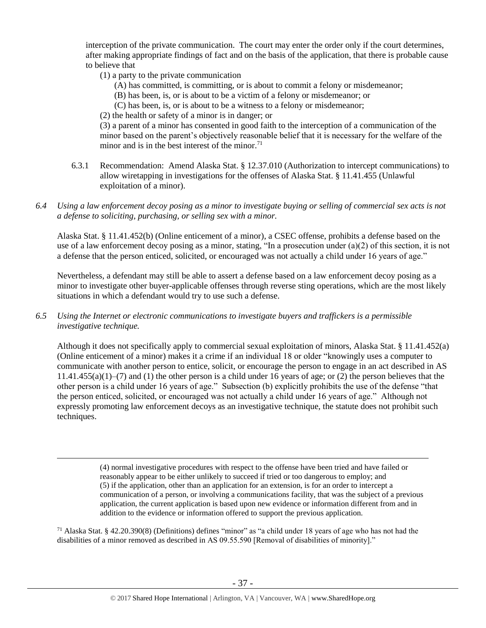interception of the private communication. The court may enter the order only if the court determines, after making appropriate findings of fact and on the basis of the application, that there is probable cause to believe that

(1) a party to the private communication

 $\overline{a}$ 

- (A) has committed, is committing, or is about to commit a felony or misdemeanor;
- (B) has been, is, or is about to be a victim of a felony or misdemeanor; or
- (C) has been, is, or is about to be a witness to a felony or misdemeanor;
- (2) the health or safety of a minor is in danger; or

(3) a parent of a minor has consented in good faith to the interception of a communication of the minor based on the parent's objectively reasonable belief that it is necessary for the welfare of the minor and is in the best interest of the minor.<sup>71</sup>

- 6.3.1 Recommendation: Amend Alaska Stat. § 12.37.010 (Authorization to intercept communications) to allow wiretapping in investigations for the offenses of Alaska Stat. § 11.41.455 (Unlawful exploitation of a minor).
- *6.4 Using a law enforcement decoy posing as a minor to investigate buying or selling of commercial sex acts is not a defense to soliciting, purchasing, or selling sex with a minor.*

Alaska Stat. § 11.41.452(b) (Online enticement of a minor), a CSEC offense, prohibits a defense based on the use of a law enforcement decoy posing as a minor, stating, "In a prosecution under  $(a)(2)$  of this section, it is not a defense that the person enticed, solicited, or encouraged was not actually a child under 16 years of age."

Nevertheless, a defendant may still be able to assert a defense based on a law enforcement decoy posing as a minor to investigate other buyer-applicable offenses through reverse sting operations, which are the most likely situations in which a defendant would try to use such a defense.

*6.5 Using the Internet or electronic communications to investigate buyers and traffickers is a permissible investigative technique.*

Although it does not specifically apply to commercial sexual exploitation of minors, Alaska Stat. § 11.41.452(a) (Online enticement of a minor) makes it a crime if an individual 18 or older "knowingly uses a computer to communicate with another person to entice, solicit, or encourage the person to engage in an act described in AS  $11.41.455(a)(1)$ –(7) and (1) the other person is a child under 16 years of age; or (2) the person believes that the other person is a child under 16 years of age." Subsection (b) explicitly prohibits the use of the defense "that the person enticed, solicited, or encouraged was not actually a child under 16 years of age." Although not expressly promoting law enforcement decoys as an investigative technique, the statute does not prohibit such techniques.

> (4) normal investigative procedures with respect to the offense have been tried and have failed or reasonably appear to be either unlikely to succeed if tried or too dangerous to employ; and (5) if the application, other than an application for an extension, is for an order to intercept a communication of a person, or involving a communications facility, that was the subject of a previous application, the current application is based upon new evidence or information different from and in addition to the evidence or information offered to support the previous application.

<sup>71</sup> Alaska Stat. § 42.20.390(8) (Definitions) defines "minor" as "a child under 18 years of age who has not had the disabilities of a minor removed as described in AS 09.55.590 [Removal of disabilities of minority]."